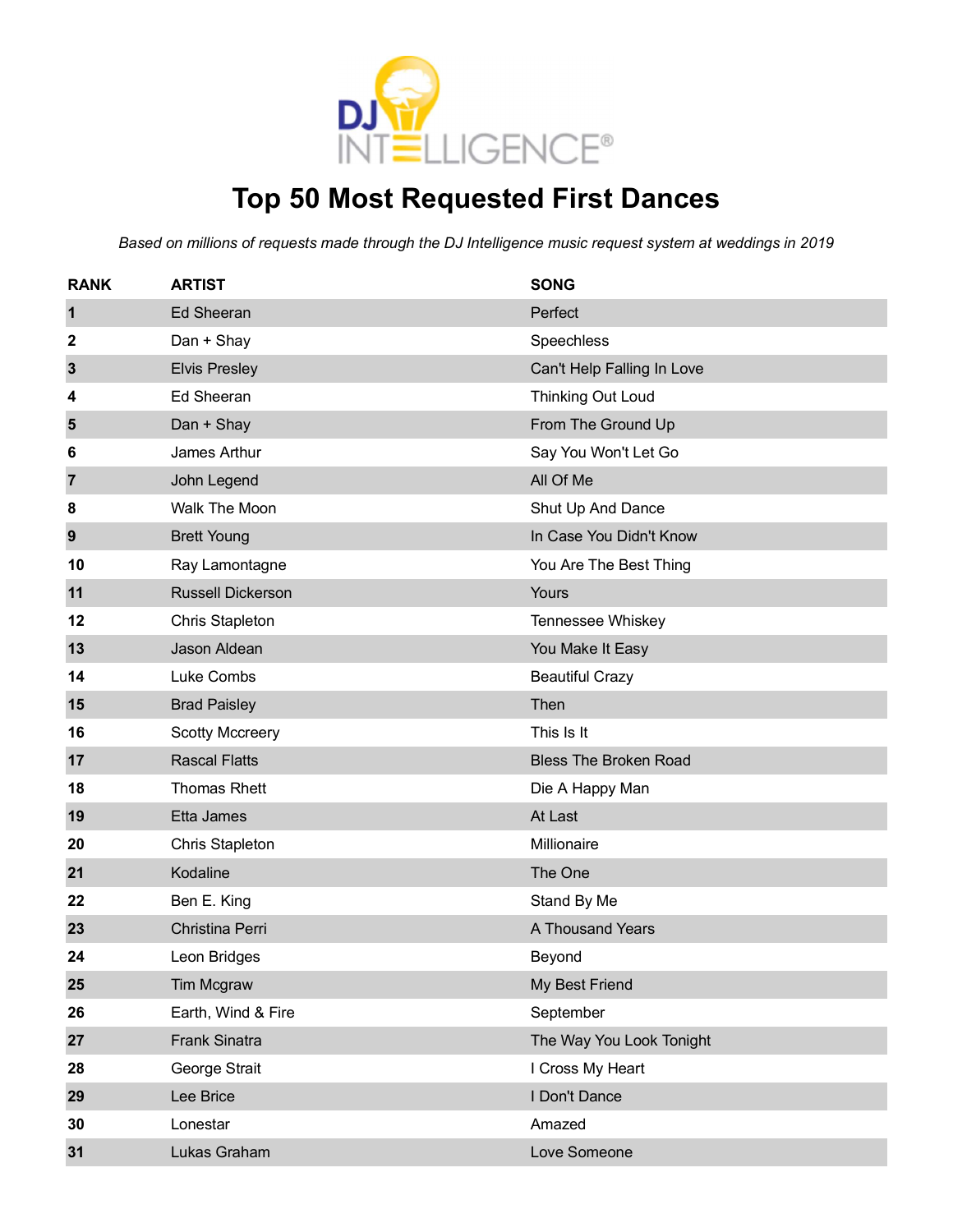

# **Top 50 Most Requested First Dances**

| <b>RANK</b>    | <b>ARTIST</b>            | <b>SONG</b>                  |
|----------------|--------------------------|------------------------------|
| $\mathbf{1}$   | <b>Ed Sheeran</b>        | Perfect                      |
| $\mathbf 2$    | Dan + Shay               | Speechless                   |
| $\mathbf{3}$   | <b>Elvis Presley</b>     | Can't Help Falling In Love   |
| 4              | <b>Ed Sheeran</b>        | <b>Thinking Out Loud</b>     |
| 5              | Dan + Shay               | From The Ground Up           |
| 6              | James Arthur             | Say You Won't Let Go         |
| $\overline{7}$ | John Legend              | All Of Me                    |
| 8              | Walk The Moon            | Shut Up And Dance            |
| 9              | <b>Brett Young</b>       | In Case You Didn't Know      |
| 10             | Ray Lamontagne           | You Are The Best Thing       |
| 11             | <b>Russell Dickerson</b> | Yours                        |
| 12             | <b>Chris Stapleton</b>   | Tennessee Whiskey            |
| 13             | Jason Aldean             | You Make It Easy             |
| 14             | Luke Combs               | <b>Beautiful Crazy</b>       |
| 15             | <b>Brad Paisley</b>      | Then                         |
| 16             | <b>Scotty Mccreery</b>   | This Is It                   |
| 17             | <b>Rascal Flatts</b>     | <b>Bless The Broken Road</b> |
| 18             | <b>Thomas Rhett</b>      | Die A Happy Man              |
| 19             | Etta James               | At Last                      |
| 20             | <b>Chris Stapleton</b>   | Millionaire                  |
| 21             | Kodaline                 | The One                      |
| 22             | Ben E. King              | Stand By Me                  |
| 23             | Christina Perri          | A Thousand Years             |
| 24             | Leon Bridges             | Beyond                       |
| 25             | Tim Mcgraw               | My Best Friend               |
| 26             | Earth, Wind & Fire       | September                    |
| 27             | Frank Sinatra            | The Way You Look Tonight     |
| 28             | George Strait            | I Cross My Heart             |
| 29             | Lee Brice                | I Don't Dance                |
| 30             | Lonestar                 | Amazed                       |
| 31             | Lukas Graham             | Love Someone                 |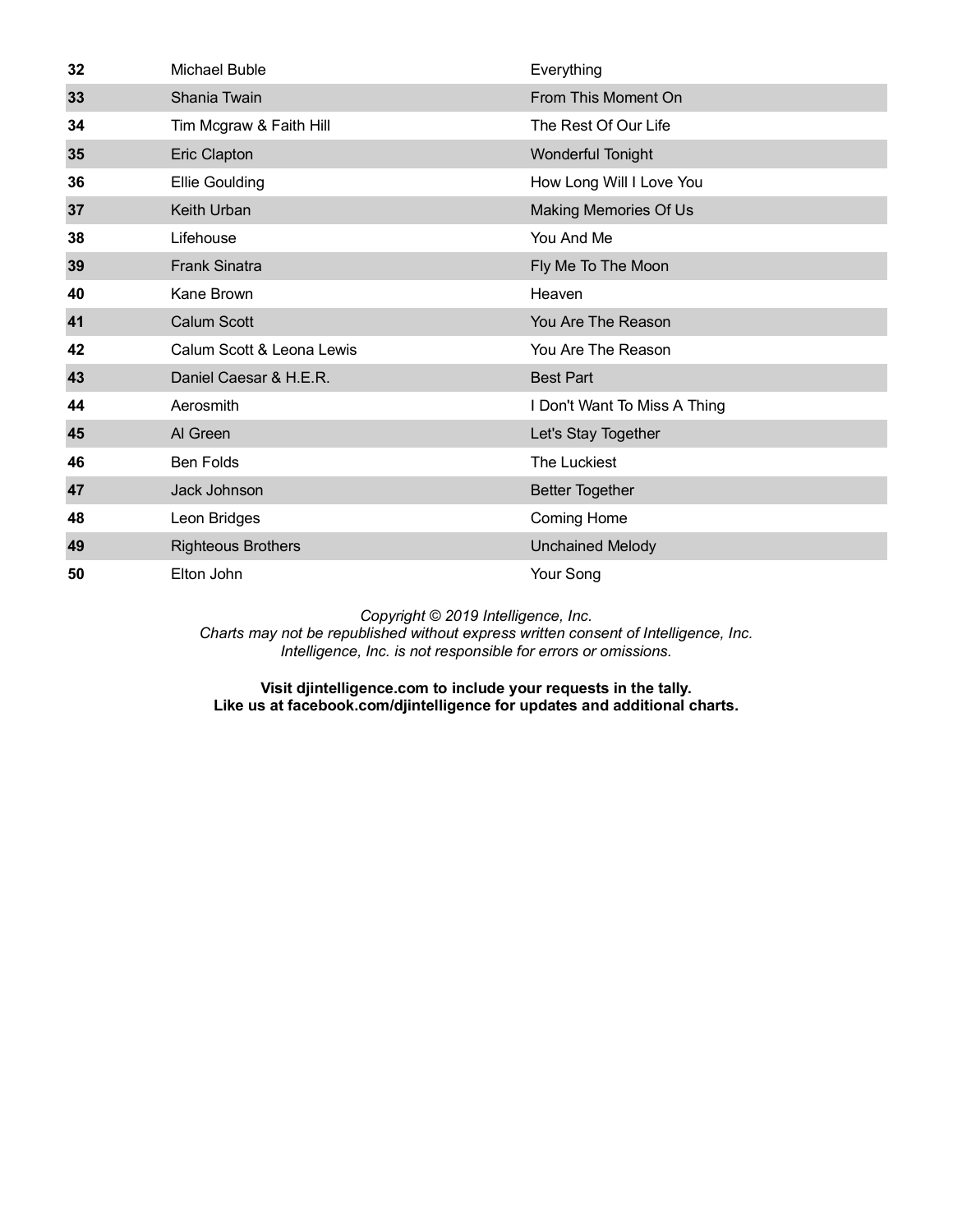| 32 | Michael Buble             | Everything                   |
|----|---------------------------|------------------------------|
| 33 | Shania Twain              | From This Moment On          |
| 34 | Tim Mcgraw & Faith Hill   | The Rest Of Our Life         |
| 35 | Eric Clapton              | Wonderful Tonight            |
| 36 | <b>Ellie Goulding</b>     | How Long Will I Love You     |
| 37 | Keith Urban               | Making Memories Of Us        |
| 38 | Lifehouse                 | You And Me                   |
| 39 | <b>Frank Sinatra</b>      | Fly Me To The Moon           |
| 40 | Kane Brown                | Heaven                       |
| 41 | Calum Scott               | You Are The Reason           |
| 42 | Calum Scott & Leona Lewis | You Are The Reason           |
| 43 | Daniel Caesar & H.E.R.    | <b>Best Part</b>             |
| 44 | Aerosmith                 | I Don't Want To Miss A Thing |
| 45 | Al Green                  | Let's Stay Together          |
| 46 | <b>Ben Folds</b>          | The Luckiest                 |
| 47 | Jack Johnson              | <b>Better Together</b>       |
| 48 | Leon Bridges              | Coming Home                  |
| 49 | <b>Righteous Brothers</b> | <b>Unchained Melody</b>      |
| 50 | Elton John                | Your Song                    |

*Charts may not be republished without express written consent of Intelligence, Inc. Intelligence, Inc. is not responsible for errors or omissions.*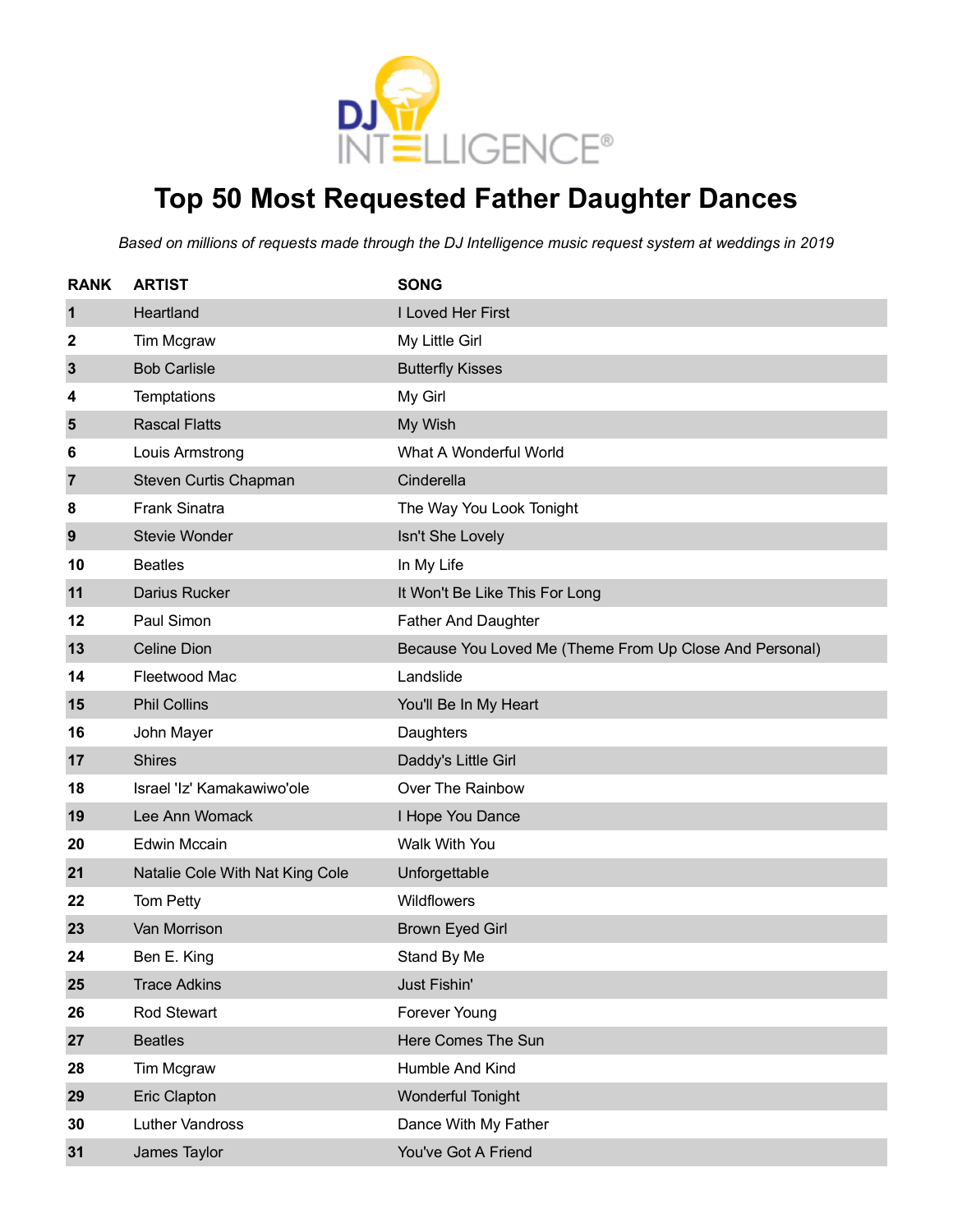

# **Top 50 Most Requested Father Daughter Dances**

| <b>RANK</b>    | <b>ARTIST</b>                   | <b>SONG</b>                                             |
|----------------|---------------------------------|---------------------------------------------------------|
| 1              | Heartland                       | I Loved Her First                                       |
| 2              | Tim Mcgraw                      | My Little Girl                                          |
| 3              | <b>Bob Carlisle</b>             | <b>Butterfly Kisses</b>                                 |
| 4              | Temptations                     | My Girl                                                 |
| 5              | <b>Rascal Flatts</b>            | My Wish                                                 |
| 6              | Louis Armstrong                 | What A Wonderful World                                  |
| $\overline{7}$ | Steven Curtis Chapman           | Cinderella                                              |
| 8              | <b>Frank Sinatra</b>            | The Way You Look Tonight                                |
| 9              | <b>Stevie Wonder</b>            | Isn't She Lovely                                        |
| 10             | <b>Beatles</b>                  | In My Life                                              |
| 11             | Darius Rucker                   | It Won't Be Like This For Long                          |
| 12             | Paul Simon                      | <b>Father And Daughter</b>                              |
| 13             | <b>Celine Dion</b>              | Because You Loved Me (Theme From Up Close And Personal) |
| 14             | Fleetwood Mac                   | Landslide                                               |
| 15             | <b>Phil Collins</b>             | You'll Be In My Heart                                   |
| 16             | John Mayer                      | Daughters                                               |
| 17             | <b>Shires</b>                   | Daddy's Little Girl                                     |
| 18             | Israel 'Iz' Kamakawiwo'ole      | Over The Rainbow                                        |
| 19             | Lee Ann Womack                  | I Hope You Dance                                        |
| 20             | <b>Edwin Mccain</b>             | Walk With You                                           |
| 21             | Natalie Cole With Nat King Cole | Unforgettable                                           |
| 22             | Tom Petty                       | Wildflowers                                             |
| 23             | Van Morrison                    | <b>Brown Eyed Girl</b>                                  |
| 24             | Ben E. King                     | Stand By Me                                             |
| 25             | <b>Trace Adkins</b>             | Just Fishin'                                            |
| 26             | Rod Stewart                     | Forever Young                                           |
| 27             | <b>Beatles</b>                  | Here Comes The Sun                                      |
| 28             | Tim Mcgraw                      | Humble And Kind                                         |
| 29             | <b>Eric Clapton</b>             | <b>Wonderful Tonight</b>                                |
| 30             | <b>Luther Vandross</b>          | Dance With My Father                                    |
| 31             | James Taylor                    | You've Got A Friend                                     |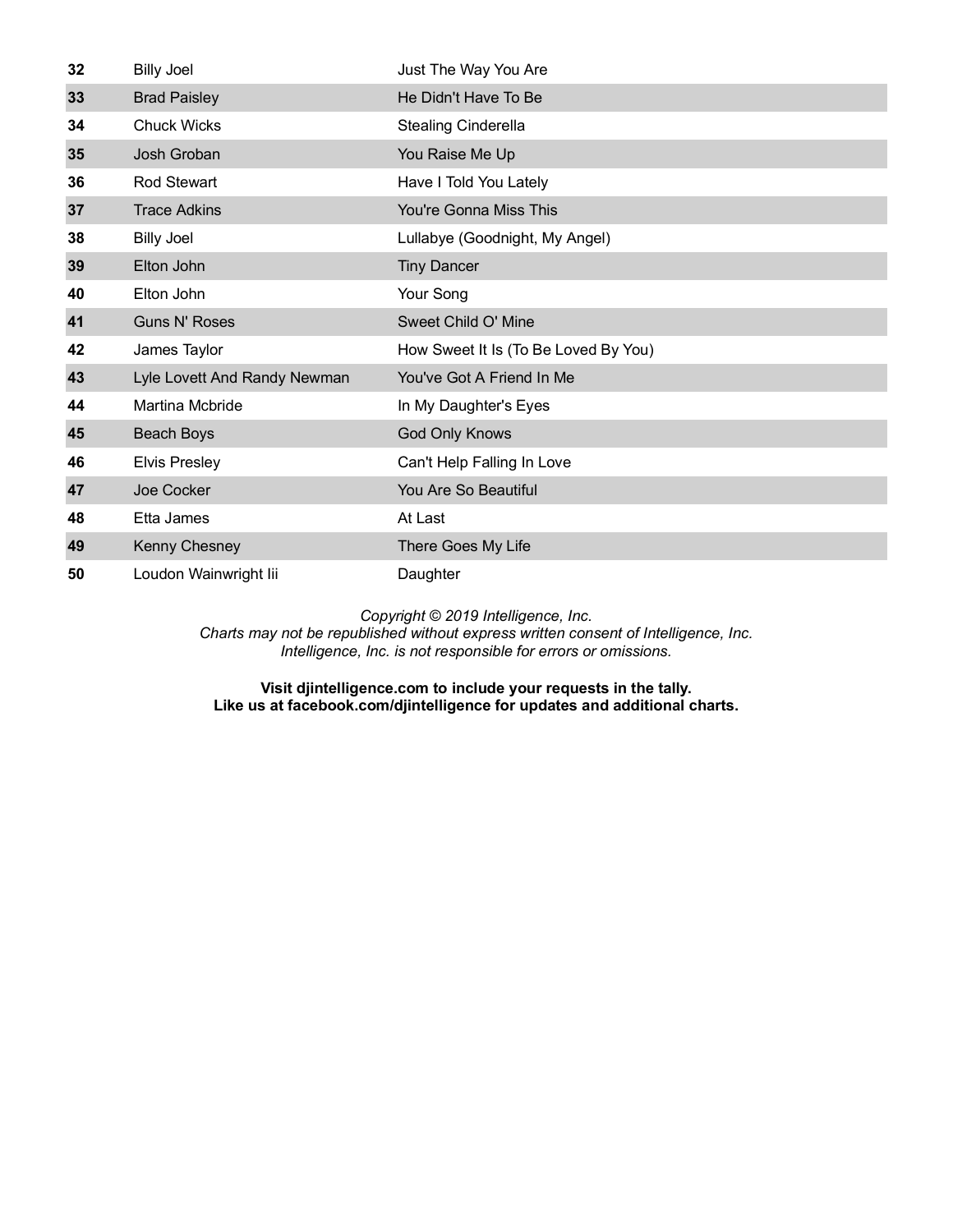| 32 | <b>Billy Joel</b>            | Just The Way You Are                 |
|----|------------------------------|--------------------------------------|
| 33 | <b>Brad Paisley</b>          | He Didn't Have To Be                 |
| 34 | <b>Chuck Wicks</b>           | <b>Stealing Cinderella</b>           |
| 35 | Josh Groban                  | You Raise Me Up                      |
| 36 | <b>Rod Stewart</b>           | Have I Told You Lately               |
| 37 | <b>Trace Adkins</b>          | <b>You're Gonna Miss This</b>        |
| 38 | <b>Billy Joel</b>            | Lullabye (Goodnight, My Angel)       |
| 39 | Elton John                   | <b>Tiny Dancer</b>                   |
| 40 | Elton John                   | Your Song                            |
| 41 | <b>Guns N' Roses</b>         | Sweet Child O' Mine                  |
| 42 | James Taylor                 | How Sweet It Is (To Be Loved By You) |
| 43 | Lyle Lovett And Randy Newman | You've Got A Friend In Me            |
| 44 | Martina Mcbride              | In My Daughter's Eyes                |
| 45 | <b>Beach Boys</b>            | God Only Knows                       |
| 46 | <b>Elvis Presley</b>         | Can't Help Falling In Love           |
| 47 | Joe Cocker                   | You Are So Beautiful                 |
| 48 | Etta James                   | At Last                              |
| 49 | Kenny Chesney                | There Goes My Life                   |
| 50 | Loudon Wainwright lii        | Daughter                             |

*Charts may not be republished without express written consent of Intelligence, Inc. Intelligence, Inc. is not responsible for errors or omissions.*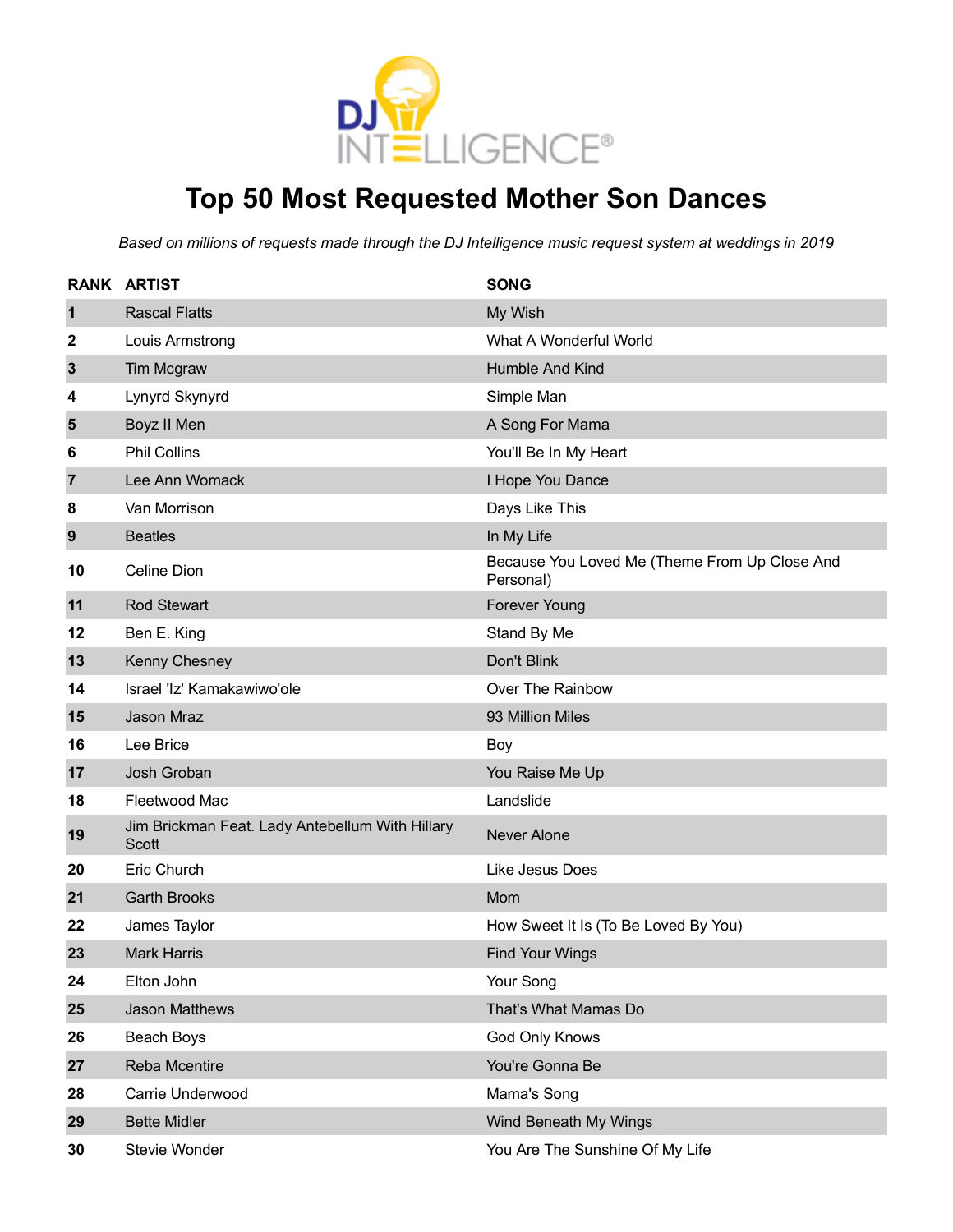

# **Top 50 Most Requested Mother Son Dances**

|                | <b>RANK ARTIST</b>                                       | <b>SONG</b>                                                |
|----------------|----------------------------------------------------------|------------------------------------------------------------|
| $\mathbf 1$    | <b>Rascal Flatts</b>                                     | My Wish                                                    |
| 2              | Louis Armstrong                                          | What A Wonderful World                                     |
| $\mathbf{3}$   | Tim Mcgraw                                               | Humble And Kind                                            |
| 4              | Lynyrd Skynyrd                                           | Simple Man                                                 |
| $5\phantom{1}$ | Boyz II Men                                              | A Song For Mama                                            |
| 6              | <b>Phil Collins</b>                                      | You'll Be In My Heart                                      |
| $\overline{7}$ | Lee Ann Womack                                           | I Hope You Dance                                           |
| 8              | Van Morrison                                             | Days Like This                                             |
| 9              | <b>Beatles</b>                                           | In My Life                                                 |
| 10             | Celine Dion                                              | Because You Loved Me (Theme From Up Close And<br>Personal) |
| 11             | <b>Rod Stewart</b>                                       | <b>Forever Young</b>                                       |
| 12             | Ben E. King                                              | Stand By Me                                                |
| 13             | <b>Kenny Chesney</b>                                     | Don't Blink                                                |
| 14             | Israel 'Iz' Kamakawiwo'ole                               | Over The Rainbow                                           |
| 15             | Jason Mraz                                               | 93 Million Miles                                           |
| 16             | Lee Brice                                                | Boy                                                        |
| 17             | Josh Groban                                              | You Raise Me Up                                            |
| 18             | Fleetwood Mac                                            | Landslide                                                  |
| 19             | Jim Brickman Feat. Lady Antebellum With Hillary<br>Scott | <b>Never Alone</b>                                         |
| 20             | Eric Church                                              | Like Jesus Does                                            |
| 21             | <b>Garth Brooks</b>                                      | Mom                                                        |
| 22             | James Taylor                                             | How Sweet It Is (To Be Loved By You)                       |
| 23             | <b>Mark Harris</b>                                       | <b>Find Your Wings</b>                                     |
| 24             | Elton John                                               | Your Song                                                  |
| 25             | Jason Matthews                                           | That's What Mamas Do                                       |
| 26             | Beach Boys                                               | God Only Knows                                             |
| 27             | Reba Mcentire                                            | You're Gonna Be                                            |
| 28             | Carrie Underwood                                         | Mama's Song                                                |
| 29             | <b>Bette Midler</b>                                      | Wind Beneath My Wings                                      |
| 30             | Stevie Wonder                                            | You Are The Sunshine Of My Life                            |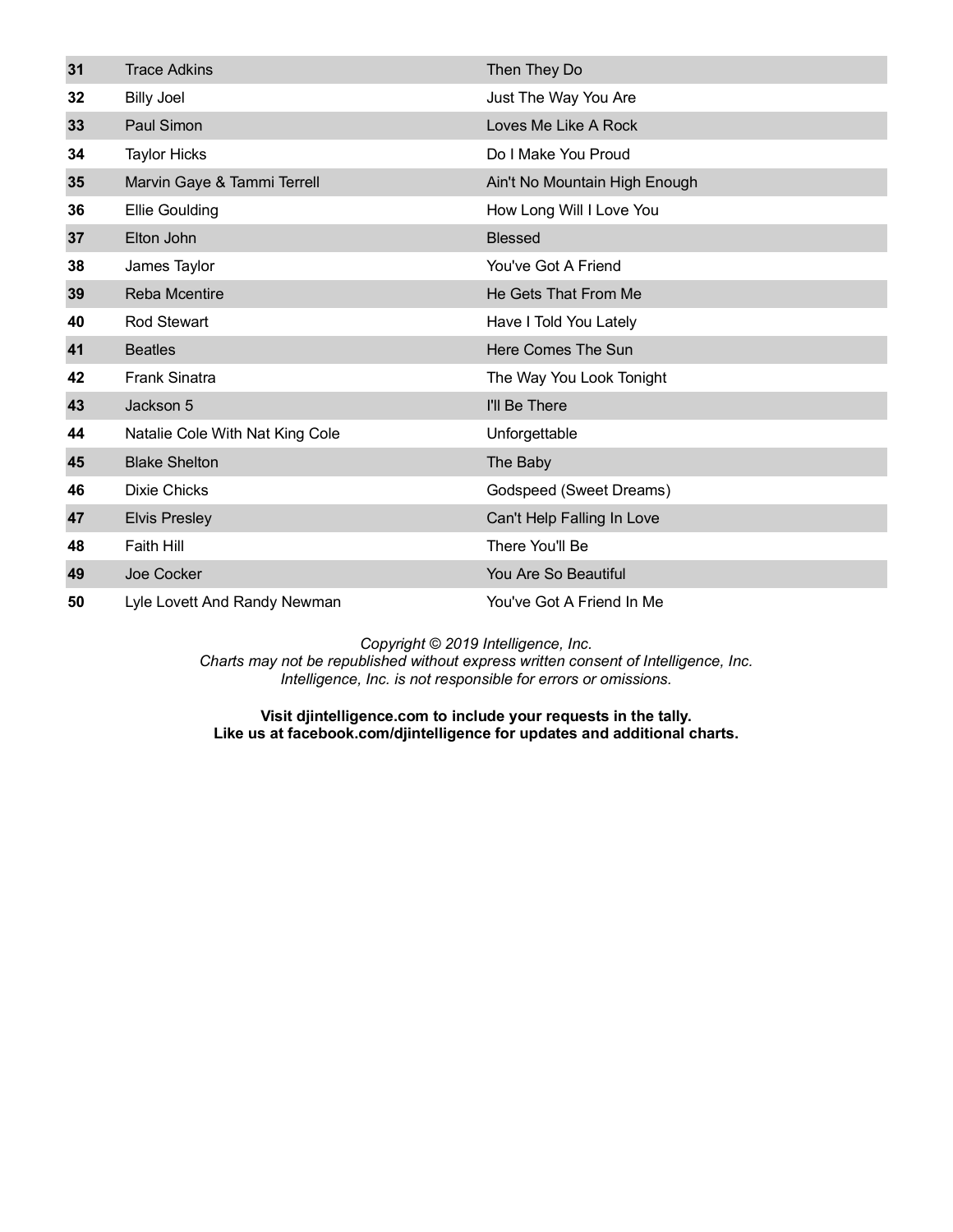| 31 | <b>Trace Adkins</b>             | Then They Do                  |
|----|---------------------------------|-------------------------------|
| 32 | <b>Billy Joel</b>               | Just The Way You Are          |
| 33 | <b>Paul Simon</b>               | Loves Me Like A Rock          |
| 34 | <b>Taylor Hicks</b>             | Do I Make You Proud           |
| 35 | Marvin Gaye & Tammi Terrell     | Ain't No Mountain High Enough |
| 36 | <b>Ellie Goulding</b>           | How Long Will I Love You      |
| 37 | Elton John                      | <b>Blessed</b>                |
| 38 | James Taylor                    | You've Got A Friend           |
| 39 | Reba Mcentire                   | He Gets That From Me          |
| 40 | <b>Rod Stewart</b>              | Have I Told You Lately        |
| 41 | <b>Beatles</b>                  | Here Comes The Sun            |
| 42 | <b>Frank Sinatra</b>            | The Way You Look Tonight      |
|    |                                 |                               |
| 43 | Jackson 5                       | I'll Be There                 |
| 44 | Natalie Cole With Nat King Cole | Unforgettable                 |
| 45 | <b>Blake Shelton</b>            | The Baby                      |
| 46 | <b>Dixie Chicks</b>             | Godspeed (Sweet Dreams)       |
| 47 | <b>Elvis Presley</b>            | Can't Help Falling In Love    |
| 48 | <b>Faith Hill</b>               | There You'll Be               |
| 49 | Joe Cocker                      | You Are So Beautiful          |

*Charts may not be republished without express written consent of Intelligence, Inc. Intelligence, Inc. is not responsible for errors or omissions.*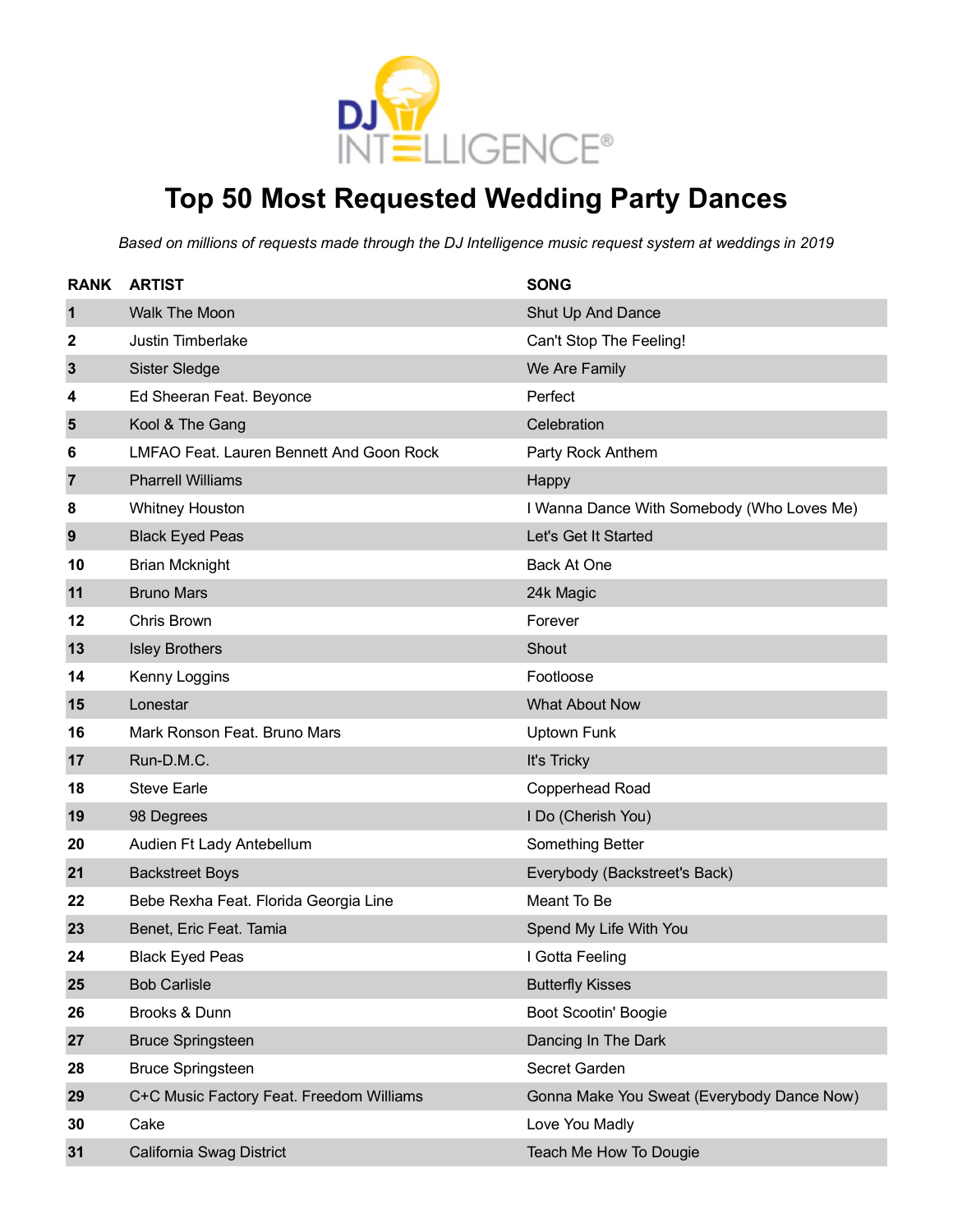

# **Top 50 Most Requested Wedding Party Dances**

| <b>RANK</b>  | <b>ARTIST</b>                            | <b>SONG</b>                                |
|--------------|------------------------------------------|--------------------------------------------|
| $\mathbf 1$  | <b>Walk The Moon</b>                     | Shut Up And Dance                          |
| 2            | <b>Justin Timberlake</b>                 | Can't Stop The Feeling!                    |
| $\mathbf{3}$ | Sister Sledge                            | We Are Family                              |
| 4            | Ed Sheeran Feat. Beyonce                 | Perfect                                    |
| 5            | Kool & The Gang                          | Celebration                                |
| 6            | LMFAO Feat. Lauren Bennett And Goon Rock | Party Rock Anthem                          |
| 7            | <b>Pharrell Williams</b>                 | Happy                                      |
| 8            | <b>Whitney Houston</b>                   | I Wanna Dance With Somebody (Who Loves Me) |
| 9            | <b>Black Eyed Peas</b>                   | Let's Get It Started                       |
| 10           | <b>Brian Mcknight</b>                    | Back At One                                |
| 11           | <b>Bruno Mars</b>                        | 24k Magic                                  |
| 12           | Chris Brown                              | Forever                                    |
| 13           | <b>Isley Brothers</b>                    | Shout                                      |
| 14           | Kenny Loggins                            | Footloose                                  |
| 15           | Lonestar                                 | <b>What About Now</b>                      |
| 16           | Mark Ronson Feat. Bruno Mars             | Uptown Funk                                |
| 17           | Run-D.M.C.                               | It's Tricky                                |
| 18           | <b>Steve Earle</b>                       | Copperhead Road                            |
| 19           | 98 Degrees                               | I Do (Cherish You)                         |
| 20           | Audien Ft Lady Antebellum                | Something Better                           |
| 21           | <b>Backstreet Boys</b>                   | Everybody (Backstreet's Back)              |
| 22           | Bebe Rexha Feat. Florida Georgia Line    | Meant To Be                                |
| 23           | Benet, Eric Feat. Tamia                  | Spend My Life With You                     |
| 24           | <b>Black Eyed Peas</b>                   | I Gotta Feeling                            |
| 25           | <b>Bob Carlisle</b>                      | <b>Butterfly Kisses</b>                    |
| 26           | Brooks & Dunn                            | <b>Boot Scootin' Boogie</b>                |
| 27           | <b>Bruce Springsteen</b>                 | Dancing In The Dark                        |
| 28           | <b>Bruce Springsteen</b>                 | Secret Garden                              |
| 29           | C+C Music Factory Feat. Freedom Williams | Gonna Make You Sweat (Everybody Dance Now) |
| 30           | Cake                                     | Love You Madly                             |
| 31           | California Swag District                 | Teach Me How To Dougie                     |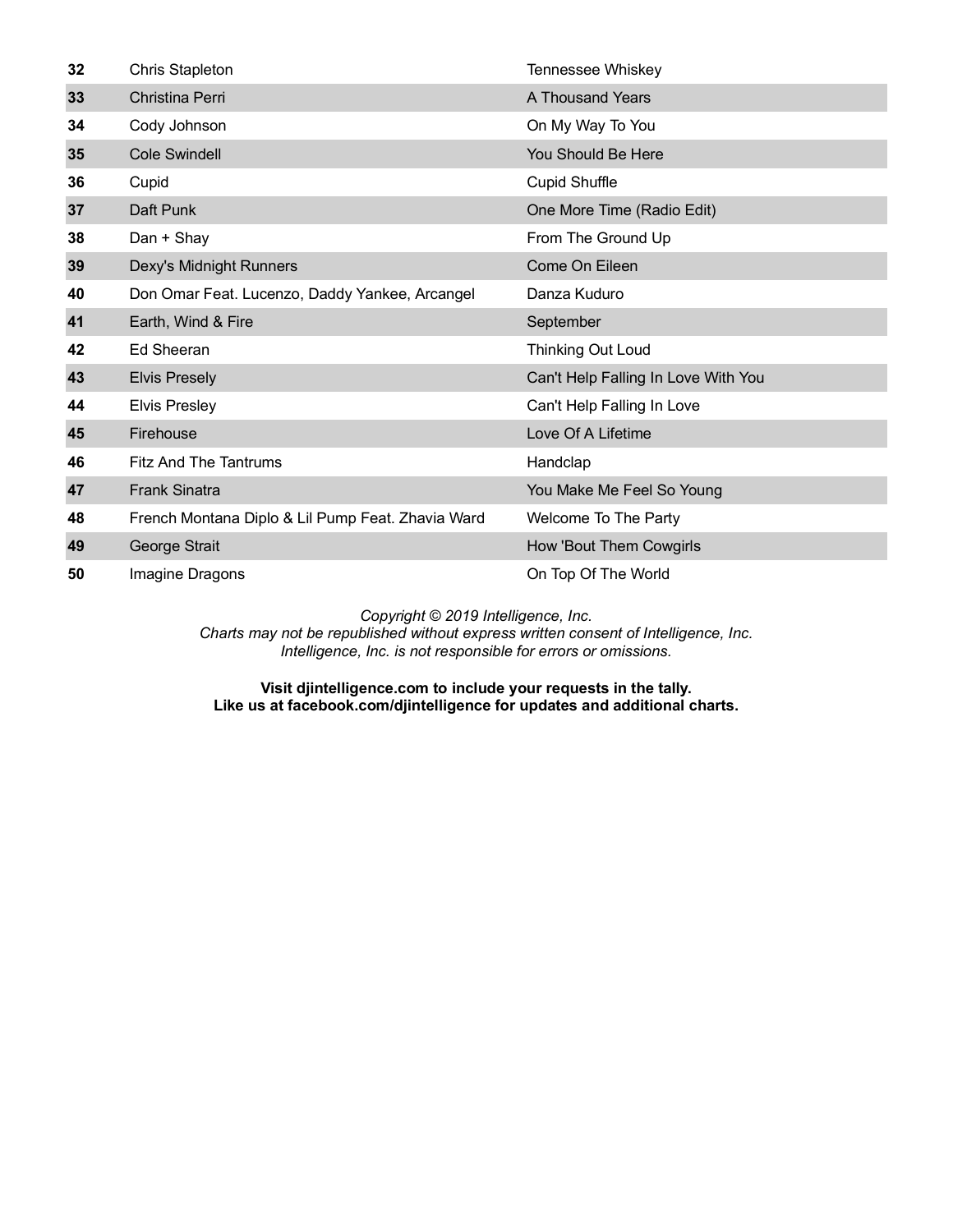| 32 | <b>Chris Stapleton</b>                            | Tennessee Whiskey                   |
|----|---------------------------------------------------|-------------------------------------|
| 33 | Christina Perri                                   | A Thousand Years                    |
| 34 | Cody Johnson                                      | On My Way To You                    |
| 35 | <b>Cole Swindell</b>                              | You Should Be Here                  |
| 36 | Cupid                                             | <b>Cupid Shuffle</b>                |
| 37 | Daft Punk                                         | One More Time (Radio Edit)          |
| 38 | Dan + Shay                                        | From The Ground Up                  |
| 39 | Dexy's Midnight Runners                           | Come On Eileen                      |
| 40 | Don Omar Feat. Lucenzo, Daddy Yankee, Arcangel    | Danza Kuduro                        |
| 41 | Earth, Wind & Fire                                | September                           |
| 42 | Ed Sheeran                                        | <b>Thinking Out Loud</b>            |
| 43 | <b>Elvis Presely</b>                              | Can't Help Falling In Love With You |
| 44 | <b>Elvis Presley</b>                              | Can't Help Falling In Love          |
| 45 | Firehouse                                         | Love Of A Lifetime                  |
| 46 | <b>Fitz And The Tantrums</b>                      | Handclap                            |
| 47 | <b>Frank Sinatra</b>                              | You Make Me Feel So Young           |
| 48 | French Montana Diplo & Lil Pump Feat. Zhavia Ward | Welcome To The Party                |
| 49 | George Strait                                     | How 'Bout Them Cowgirls             |
| 50 | Imagine Dragons                                   | On Top Of The World                 |

*Charts may not be republished without express written consent of Intelligence, Inc. Intelligence, Inc. is not responsible for errors or omissions.*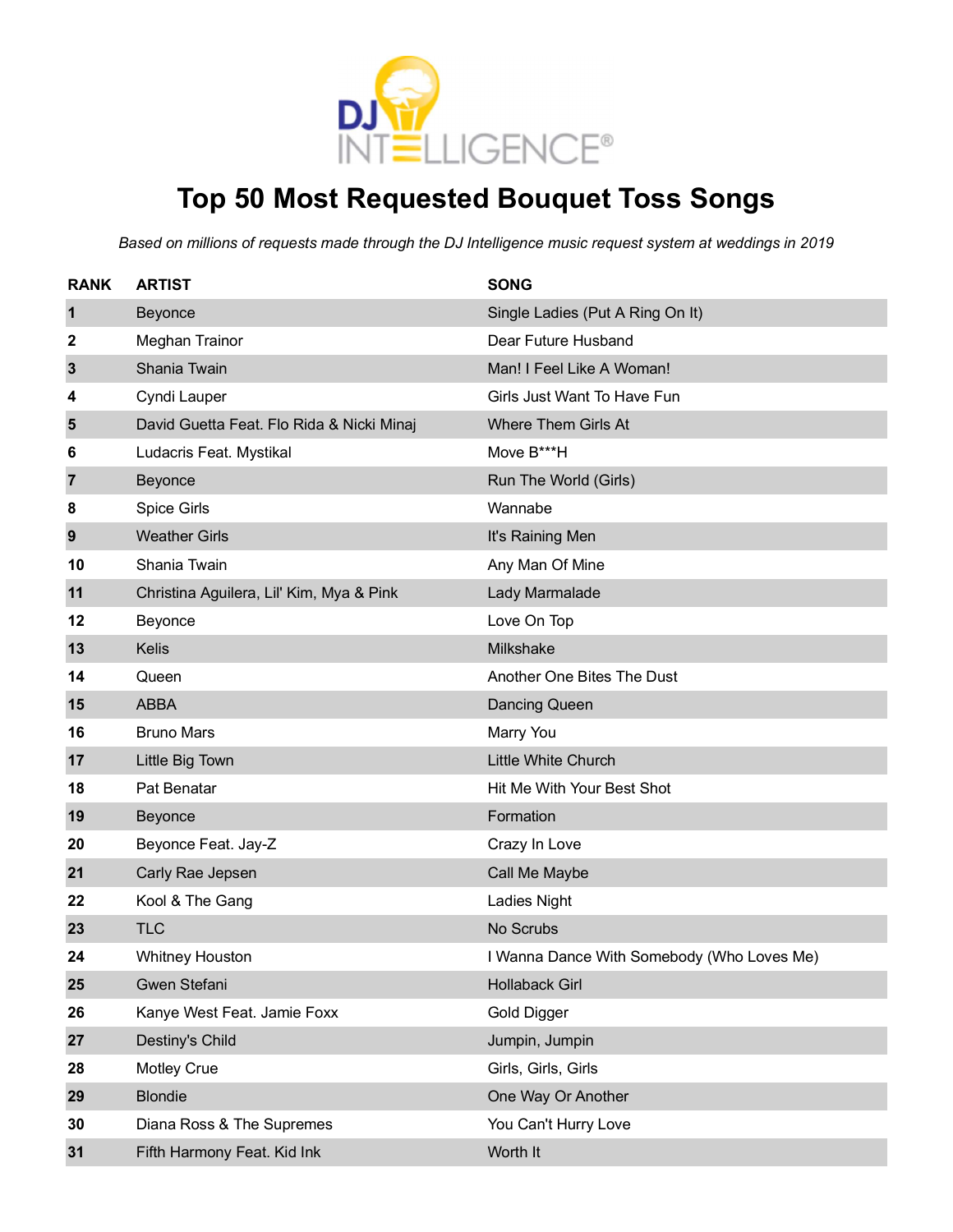

### **Top 50 Most Requested Bouquet Toss Songs**

| <b>RANK</b>  | <b>ARTIST</b>                             | <b>SONG</b>                                |
|--------------|-------------------------------------------|--------------------------------------------|
| $\mathbf 1$  | Beyonce                                   | Single Ladies (Put A Ring On It)           |
| 2            | Meghan Trainor                            | Dear Future Husband                        |
| $\mathbf{3}$ | Shania Twain                              | Man! I Feel Like A Woman!                  |
| 4            | Cyndi Lauper                              | Girls Just Want To Have Fun                |
| 5            | David Guetta Feat. Flo Rida & Nicki Minaj | Where Them Girls At                        |
| 6            | Ludacris Feat. Mystikal                   | Move B***H                                 |
| 7            | Beyonce                                   | Run The World (Girls)                      |
| 8            | Spice Girls                               | Wannabe                                    |
| 9            | <b>Weather Girls</b>                      | It's Raining Men                           |
| 10           | Shania Twain                              | Any Man Of Mine                            |
| 11           | Christina Aguilera, Lil' Kim, Mya & Pink  | Lady Marmalade                             |
| 12           | Beyonce                                   | Love On Top                                |
| 13           | <b>Kelis</b>                              | Milkshake                                  |
| 14           | Queen                                     | Another One Bites The Dust                 |
| 15           | <b>ABBA</b>                               | <b>Dancing Queen</b>                       |
| 16           | <b>Bruno Mars</b>                         | Marry You                                  |
| 17           | Little Big Town                           | Little White Church                        |
| 18           | Pat Benatar                               | Hit Me With Your Best Shot                 |
| 19           | Beyonce                                   | Formation                                  |
| 20           | Beyonce Feat. Jay-Z                       | Crazy In Love                              |
| 21           | Carly Rae Jepsen                          | Call Me Maybe                              |
| 22           | Kool & The Gang                           | <b>Ladies Night</b>                        |
| 23           | <b>TLC</b>                                | No Scrubs                                  |
| 24           | <b>Whitney Houston</b>                    | I Wanna Dance With Somebody (Who Loves Me) |
| 25           | Gwen Stefani                              | <b>Hollaback Girl</b>                      |
| 26           | Kanye West Feat. Jamie Foxx               | Gold Digger                                |
| 27           | Destiny's Child                           | Jumpin, Jumpin                             |
| 28           | <b>Motley Crue</b>                        | Girls, Girls, Girls                        |
| 29           | <b>Blondie</b>                            | One Way Or Another                         |
| 30           | Diana Ross & The Supremes                 | You Can't Hurry Love                       |
| 31           | Fifth Harmony Feat. Kid Ink               | Worth It                                   |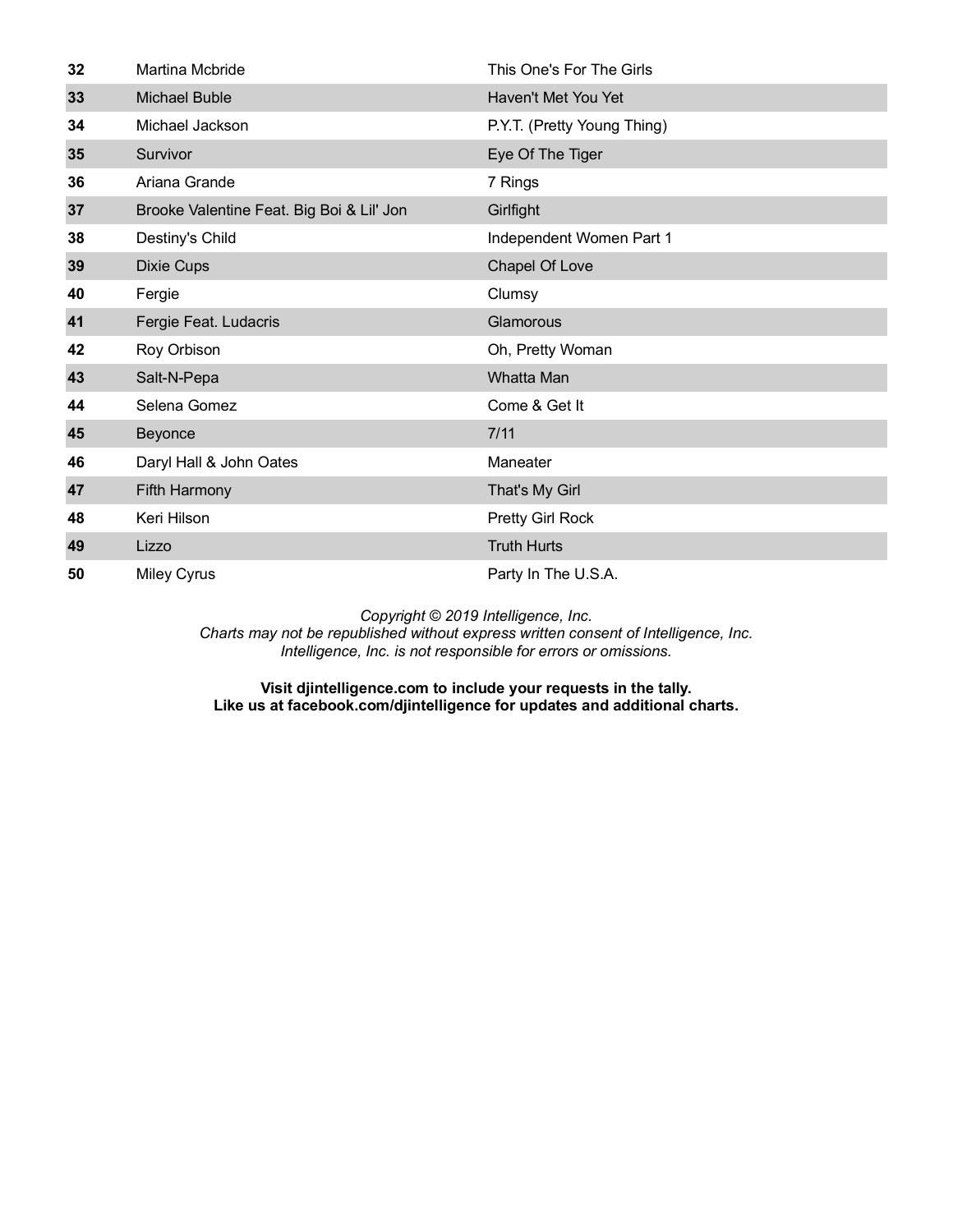| 32 | Martina Mcbride                           | This One's For The Girls    |
|----|-------------------------------------------|-----------------------------|
| 33 | <b>Michael Buble</b>                      | Haven't Met You Yet         |
| 34 | Michael Jackson                           | P.Y.T. (Pretty Young Thing) |
| 35 | Survivor                                  | Eye Of The Tiger            |
| 36 | Ariana Grande                             | 7 Rings                     |
| 37 | Brooke Valentine Feat. Big Boi & Lil' Jon | Girlfight                   |
| 38 | Destiny's Child                           | Independent Women Part 1    |
| 39 | <b>Dixie Cups</b>                         | Chapel Of Love              |
| 40 | Fergie                                    | Clumsy                      |
| 41 | Fergie Feat. Ludacris                     | Glamorous                   |
| 42 | Roy Orbison                               | Oh, Pretty Woman            |
| 43 | Salt-N-Pepa                               | <b>Whatta Man</b>           |
| 44 | Selena Gomez                              | Come & Get It               |
| 45 | Beyonce                                   | 7/11                        |
| 46 | Daryl Hall & John Oates                   | Maneater                    |
| 47 | Fifth Harmony                             | That's My Girl              |
| 48 | Keri Hilson                               | Pretty Girl Rock            |
| 49 | Lizzo                                     | <b>Truth Hurts</b>          |
| 50 | <b>Miley Cyrus</b>                        | Party In The U.S.A.         |

*Charts may not be republished without express written consent of Intelligence, Inc. Intelligence, Inc. is not responsible for errors or omissions.*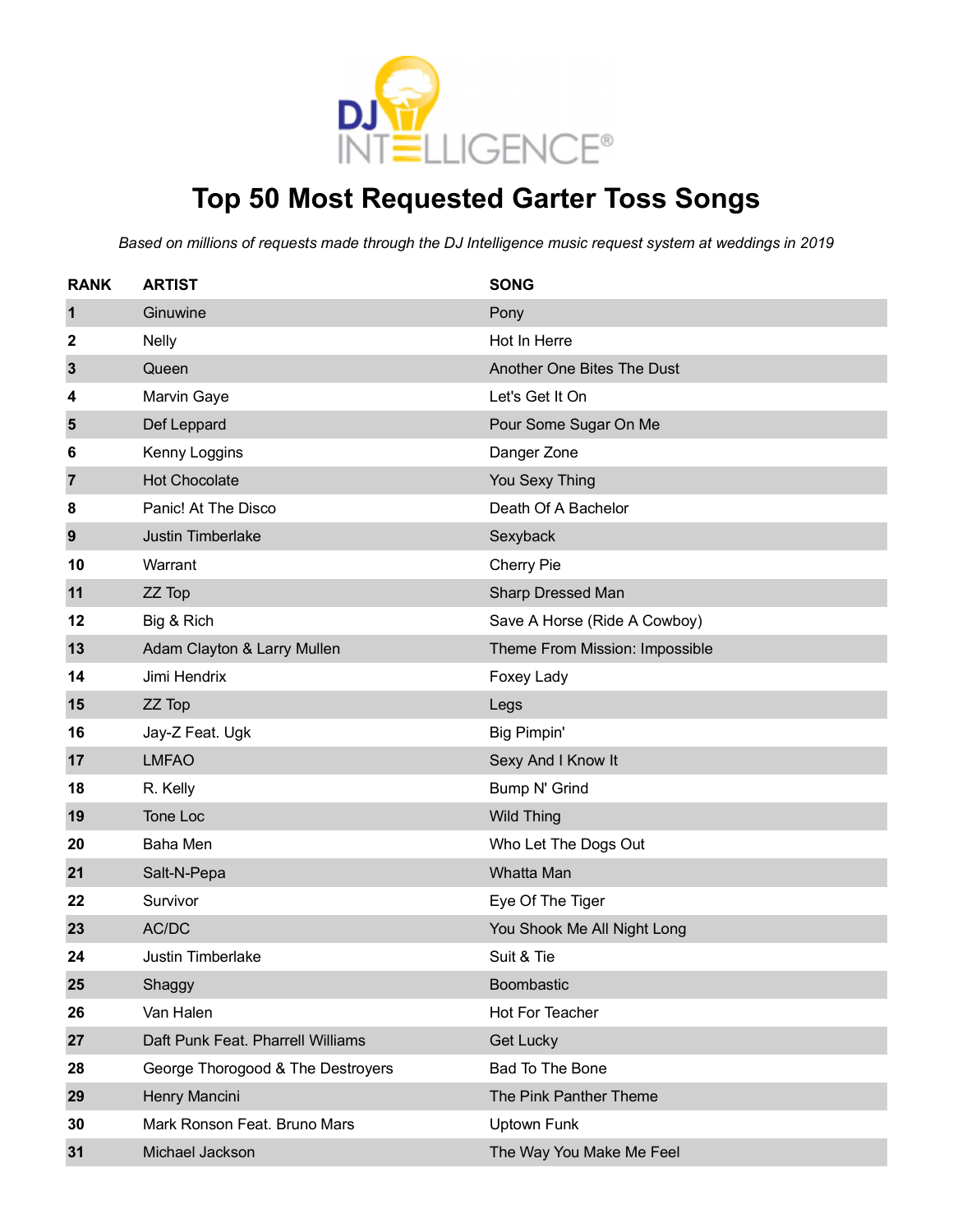

# **Top 50 Most Requested Garter Toss Songs**

| <b>RANK</b>    | <b>ARTIST</b>                     | <b>SONG</b>                    |
|----------------|-----------------------------------|--------------------------------|
| $\mathbf 1$    | Ginuwine                          | Pony                           |
| 2              | <b>Nelly</b>                      | Hot In Herre                   |
| 3              | Queen                             | Another One Bites The Dust     |
| 4              | Marvin Gaye                       | Let's Get It On                |
| 5              | Def Leppard                       | Pour Some Sugar On Me          |
| 6              | Kenny Loggins                     | Danger Zone                    |
| $\overline{7}$ | <b>Hot Chocolate</b>              | You Sexy Thing                 |
| 8              | Panic! At The Disco               | Death Of A Bachelor            |
| 9              | Justin Timberlake                 | Sexyback                       |
| 10             | Warrant                           | Cherry Pie                     |
| 11             | ZZ Top                            | Sharp Dressed Man              |
| 12             | Big & Rich                        | Save A Horse (Ride A Cowboy)   |
| 13             | Adam Clayton & Larry Mullen       | Theme From Mission: Impossible |
| 14             | Jimi Hendrix                      | Foxey Lady                     |
| 15             | ZZ Top                            | Legs                           |
| 16             | Jay-Z Feat. Ugk                   | Big Pimpin'                    |
| 17             | <b>LMFAO</b>                      | Sexy And I Know It             |
| 18             | R. Kelly                          | Bump N' Grind                  |
| 19             | Tone Loc                          | <b>Wild Thing</b>              |
| 20             | Baha Men                          | Who Let The Dogs Out           |
| 21             | Salt-N-Pepa                       | Whatta Man                     |
| 22             | Survivor                          | Eye Of The Tiger               |
| 23             | AC/DC                             | You Shook Me All Night Long    |
| 24             | <b>Justin Timberlake</b>          | Suit & Tie                     |
| 25             | Shaggy                            | Boombastic                     |
| 26             | Van Halen                         | Hot For Teacher                |
| 27             | Daft Punk Feat. Pharrell Williams | Get Lucky                      |
| 28             | George Thorogood & The Destroyers | Bad To The Bone                |
| 29             | Henry Mancini                     | The Pink Panther Theme         |
| 30             | Mark Ronson Feat. Bruno Mars      | <b>Uptown Funk</b>             |
| 31             | Michael Jackson                   | The Way You Make Me Feel       |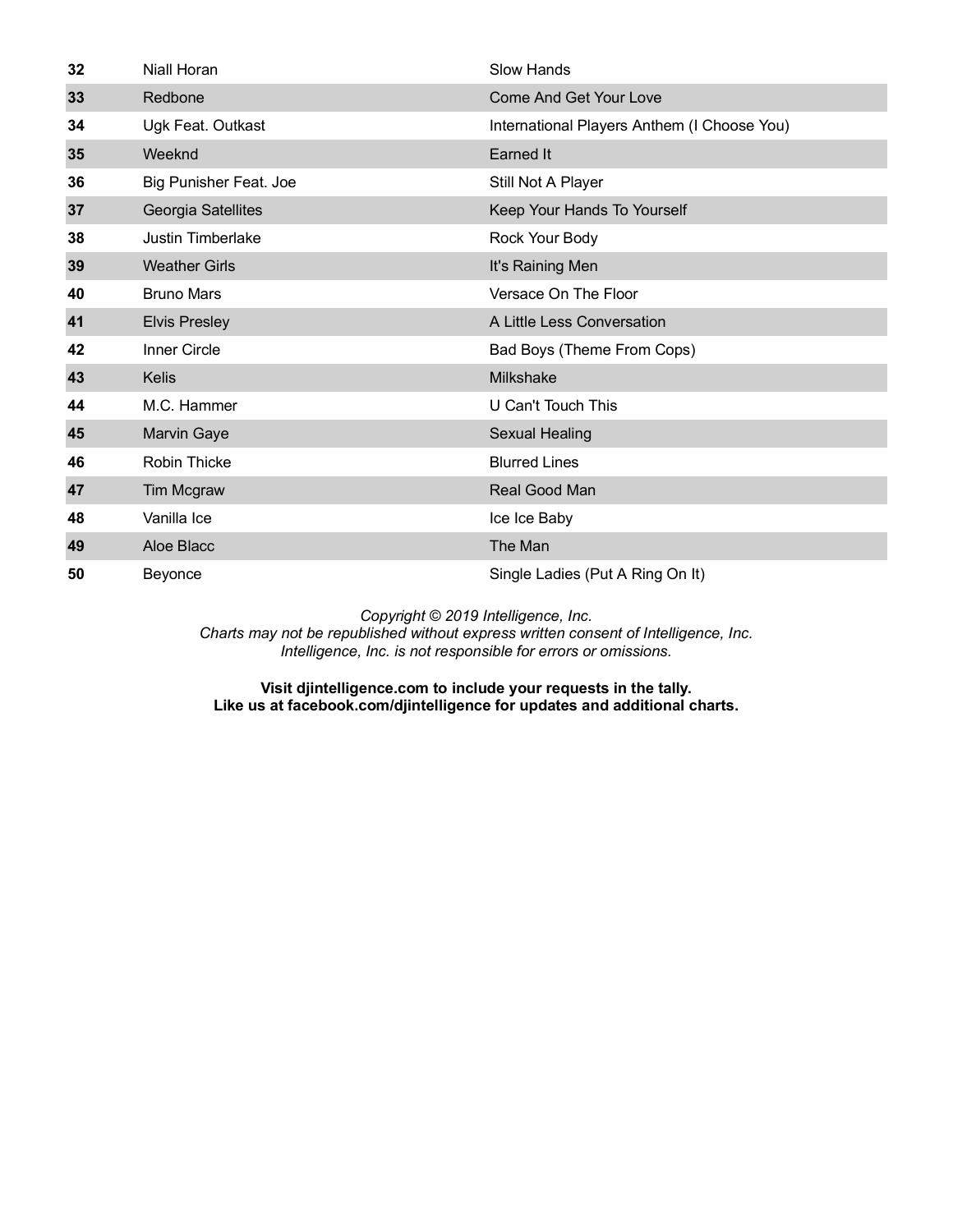| 32 | Niall Horan            | <b>Slow Hands</b>                           |
|----|------------------------|---------------------------------------------|
| 33 | Redbone                | <b>Come And Get Your Love</b>               |
| 34 | Ugk Feat. Outkast      | International Players Anthem (I Choose You) |
| 35 | Weeknd                 | Earned It                                   |
| 36 | Big Punisher Feat. Joe | Still Not A Player                          |
| 37 | Georgia Satellites     | Keep Your Hands To Yourself                 |
| 38 | Justin Timberlake      | Rock Your Body                              |
| 39 | <b>Weather Girls</b>   | It's Raining Men                            |
| 40 | <b>Bruno Mars</b>      | Versace On The Floor                        |
| 41 | <b>Elvis Presley</b>   | A Little Less Conversation                  |
| 42 | Inner Circle           | Bad Boys (Theme From Cops)                  |
| 43 | <b>Kelis</b>           | <b>Milkshake</b>                            |
| 44 | M.C. Hammer            | U Can't Touch This                          |
| 45 | <b>Marvin Gaye</b>     | <b>Sexual Healing</b>                       |
| 46 | <b>Robin Thicke</b>    | <b>Blurred Lines</b>                        |
| 47 | <b>Tim Mcgraw</b>      | Real Good Man                               |
| 48 | Vanilla Ice            | Ice Ice Baby                                |
| 49 | Aloe Blacc             | The Man                                     |
| 50 | Beyonce                | Single Ladies (Put A Ring On It)            |

*Charts may not be republished without express written consent of Intelligence, Inc. Intelligence, Inc. is not responsible for errors or omissions.*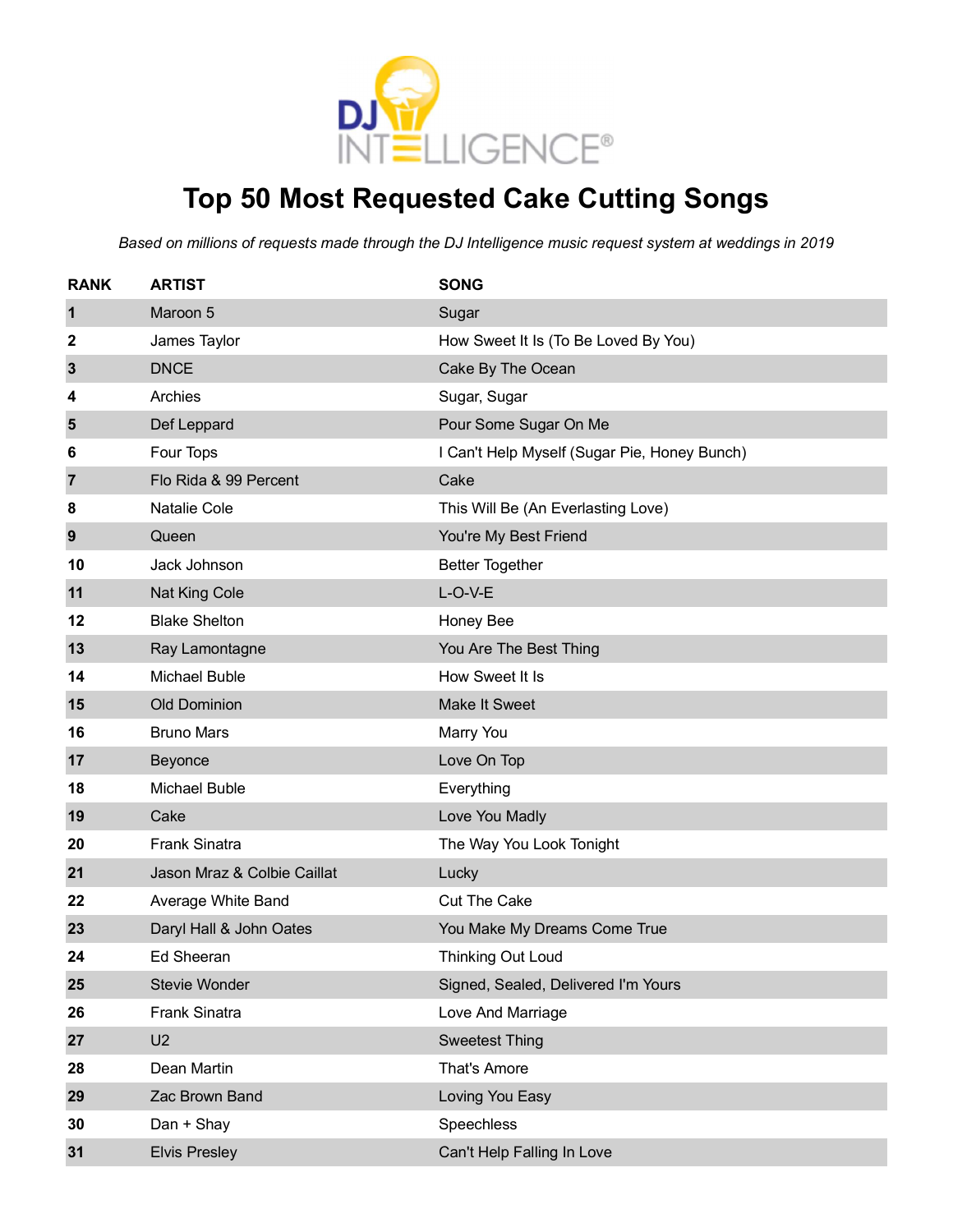

# **Top 50 Most Requested Cake Cutting Songs**

| <b>RANK</b> | <b>ARTIST</b>               | <b>SONG</b>                                  |
|-------------|-----------------------------|----------------------------------------------|
| 1           | Maroon 5                    | Sugar                                        |
| 2           | James Taylor                | How Sweet It Is (To Be Loved By You)         |
| 3           | <b>DNCE</b>                 | Cake By The Ocean                            |
| 4           | Archies                     | Sugar, Sugar                                 |
| 5           | Def Leppard                 | Pour Some Sugar On Me                        |
| 6           | Four Tops                   | I Can't Help Myself (Sugar Pie, Honey Bunch) |
| 7           | Flo Rida & 99 Percent       | Cake                                         |
| 8           | <b>Natalie Cole</b>         | This Will Be (An Everlasting Love)           |
| 9           | Queen                       | You're My Best Friend                        |
| 10          | Jack Johnson                | <b>Better Together</b>                       |
| 11          | Nat King Cole               | $L-O-V-E$                                    |
| 12          | <b>Blake Shelton</b>        | Honey Bee                                    |
| 13          | Ray Lamontagne              | You Are The Best Thing                       |
| 14          | <b>Michael Buble</b>        | How Sweet It Is                              |
| 15          | <b>Old Dominion</b>         | Make It Sweet                                |
| 16          | <b>Bruno Mars</b>           | Marry You                                    |
| 17          | Beyonce                     | Love On Top                                  |
| 18          | Michael Buble               | Everything                                   |
| 19          | Cake                        | Love You Madly                               |
| 20          | <b>Frank Sinatra</b>        | The Way You Look Tonight                     |
| 21          | Jason Mraz & Colbie Caillat | Lucky                                        |
| 22          | Average White Band          | <b>Cut The Cake</b>                          |
| 23          | Daryl Hall & John Oates     | You Make My Dreams Come True                 |
| 24          | <b>Ed Sheeran</b>           | <b>Thinking Out Loud</b>                     |
| 25          | Stevie Wonder               | Signed, Sealed, Delivered I'm Yours          |
| 26          | <b>Frank Sinatra</b>        | Love And Marriage                            |
| 27          | U <sub>2</sub>              | <b>Sweetest Thing</b>                        |
| 28          | Dean Martin                 | That's Amore                                 |
| 29          | Zac Brown Band              | Loving You Easy                              |
| 30          | Dan + Shay                  | Speechless                                   |
| 31          | <b>Elvis Presley</b>        | Can't Help Falling In Love                   |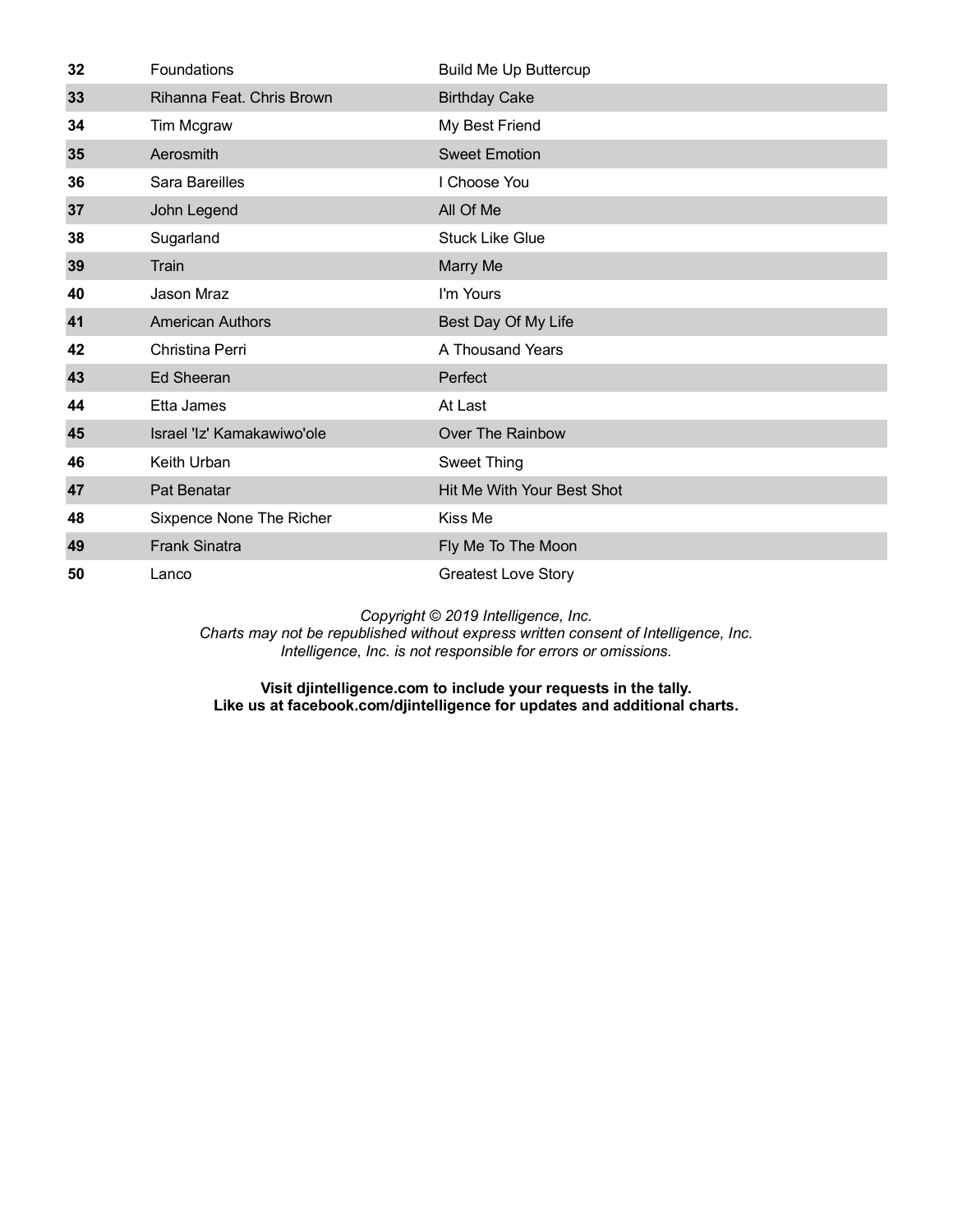| 32 | Foundations                | <b>Build Me Up Buttercup</b> |
|----|----------------------------|------------------------------|
| 33 | Rihanna Feat. Chris Brown  | <b>Birthday Cake</b>         |
| 34 | Tim Mcgraw                 | My Best Friend               |
| 35 | Aerosmith                  | <b>Sweet Emotion</b>         |
| 36 | Sara Bareilles             | I Choose You                 |
| 37 | John Legend                | All Of Me                    |
| 38 | Sugarland                  | <b>Stuck Like Glue</b>       |
| 39 | Train                      | Marry Me                     |
| 40 | Jason Mraz                 | I'm Yours                    |
| 41 | <b>American Authors</b>    | Best Day Of My Life          |
| 42 | Christina Perri            | A Thousand Years             |
| 43 | <b>Ed Sheeran</b>          | Perfect                      |
| 44 | Etta James                 | At Last                      |
| 45 | Israel 'Iz' Kamakawiwo'ole | Over The Rainbow             |
| 46 | Keith Urban                | Sweet Thing                  |
| 47 | Pat Benatar                | Hit Me With Your Best Shot   |
| 48 | Sixpence None The Richer   | Kiss Me                      |
| 49 | <b>Frank Sinatra</b>       | Fly Me To The Moon           |
| 50 | Lanco                      | <b>Greatest Love Story</b>   |

*Charts may not be republished without express written consent of Intelligence, Inc. Intelligence, Inc. is not responsible for errors or omissions.*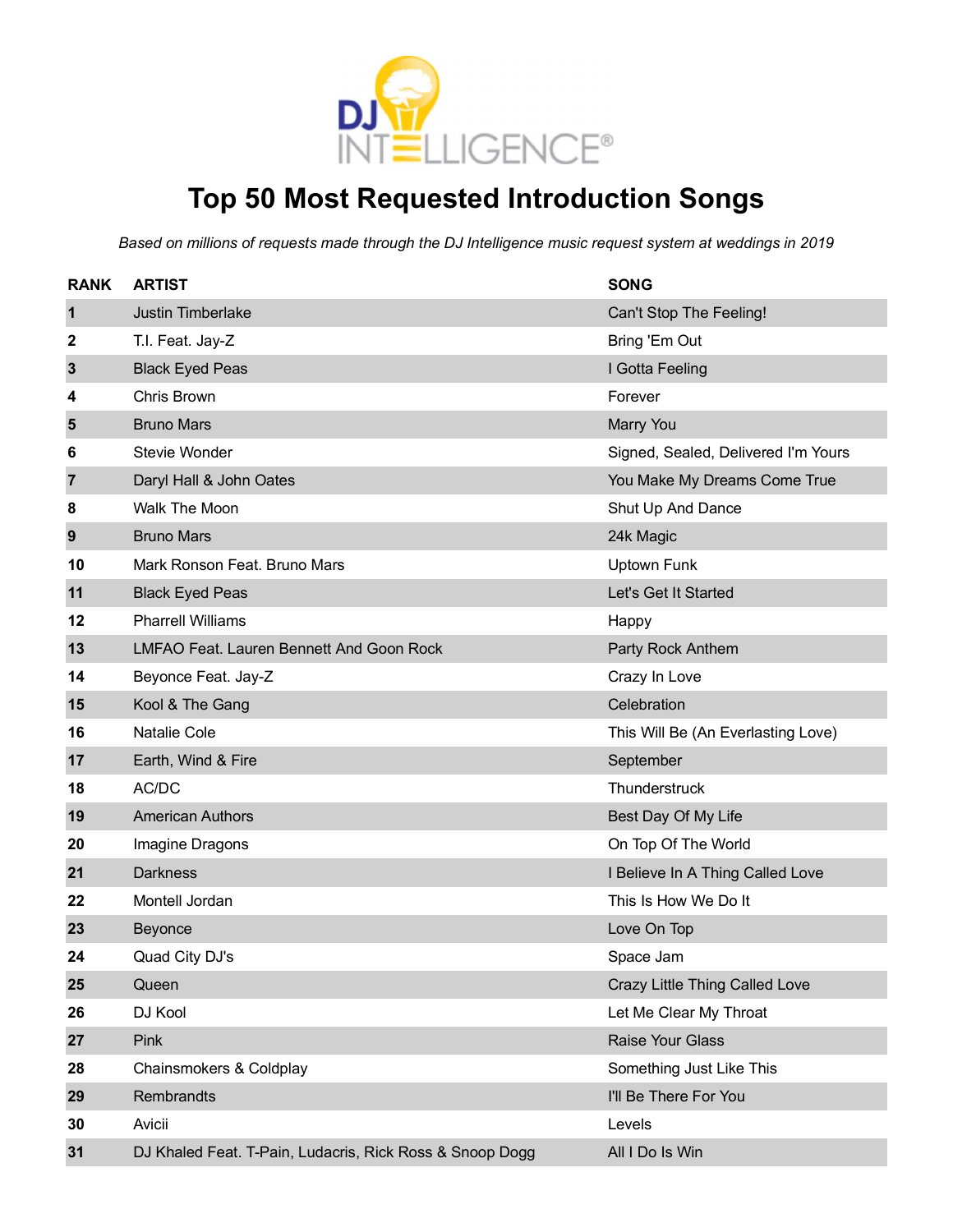

# **Top 50 Most Requested Introduction Songs**

| <b>RANK</b>    | <b>ARTIST</b>                                            | <b>SONG</b>                         |
|----------------|----------------------------------------------------------|-------------------------------------|
| 1              | <b>Justin Timberlake</b>                                 | Can't Stop The Feeling!             |
| 2              | T.I. Feat. Jay-Z                                         | Bring 'Em Out                       |
| $\mathbf{3}$   | <b>Black Eyed Peas</b>                                   | I Gotta Feeling                     |
| 4              | Chris Brown                                              | Forever                             |
| $5\phantom{1}$ | <b>Bruno Mars</b>                                        | Marry You                           |
| 6              | Stevie Wonder                                            | Signed, Sealed, Delivered I'm Yours |
| 7              | Daryl Hall & John Oates                                  | You Make My Dreams Come True        |
| 8              | Walk The Moon                                            | Shut Up And Dance                   |
| 9              | <b>Bruno Mars</b>                                        | 24k Magic                           |
| 10             | Mark Ronson Feat. Bruno Mars                             | <b>Uptown Funk</b>                  |
| 11             | <b>Black Eyed Peas</b>                                   | Let's Get It Started                |
| 12             | <b>Pharrell Williams</b>                                 | Happy                               |
| 13             | LMFAO Feat. Lauren Bennett And Goon Rock                 | Party Rock Anthem                   |
| 14             | Beyonce Feat. Jay-Z                                      | Crazy In Love                       |
| 15             | Kool & The Gang                                          | Celebration                         |
| 16             | <b>Natalie Cole</b>                                      | This Will Be (An Everlasting Love)  |
| 17             | Earth, Wind & Fire                                       | September                           |
| 18             | AC/DC                                                    | Thunderstruck                       |
| 19             | <b>American Authors</b>                                  | Best Day Of My Life                 |
| 20             | Imagine Dragons                                          | On Top Of The World                 |
| 21             | <b>Darkness</b>                                          | I Believe In A Thing Called Love    |
| 22             | Montell Jordan                                           | This Is How We Do It                |
| 23             | Beyonce                                                  | Love On Top                         |
| 24             | Quad City DJ's                                           | Space Jam                           |
| 25             | Queen                                                    | Crazy Little Thing Called Love      |
| 26             | DJ Kool                                                  | Let Me Clear My Throat              |
| 27             | Pink                                                     | Raise Your Glass                    |
| 28             | Chainsmokers & Coldplay                                  | Something Just Like This            |
| 29             | Rembrandts                                               | I'll Be There For You               |
| 30             | Avicii                                                   | Levels                              |
| 31             | DJ Khaled Feat. T-Pain, Ludacris, Rick Ross & Snoop Dogg | All I Do Is Win                     |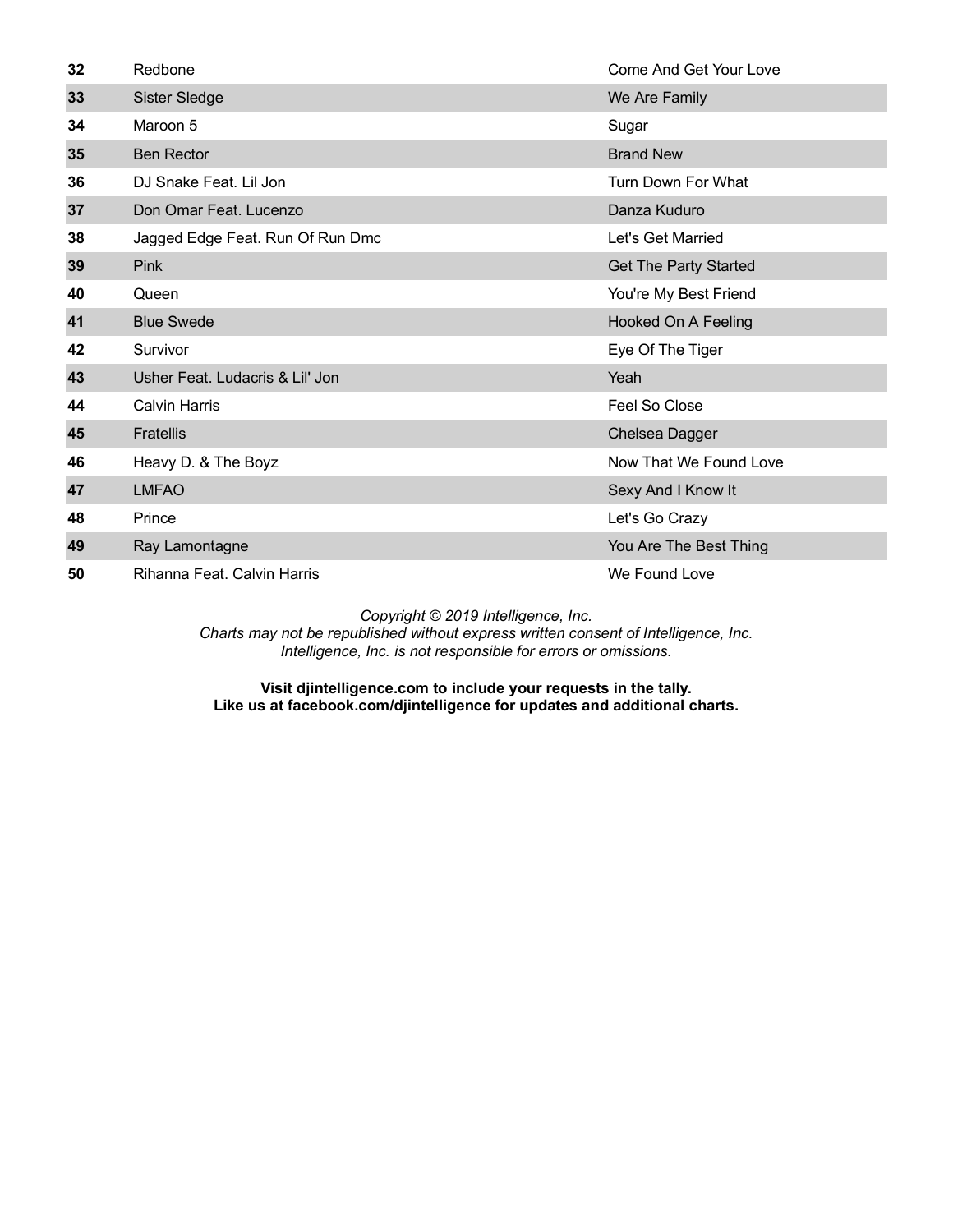| 32 | Redbone                          | Come And Get Your Love       |
|----|----------------------------------|------------------------------|
| 33 | Sister Sledge                    | We Are Family                |
| 34 | Maroon 5                         | Sugar                        |
| 35 | <b>Ben Rector</b>                | <b>Brand New</b>             |
| 36 | DJ Snake Feat. Lil Jon           | Turn Down For What           |
| 37 | Don Omar Feat. Lucenzo           | Danza Kuduro                 |
| 38 | Jagged Edge Feat. Run Of Run Dmc | Let's Get Married            |
| 39 | <b>Pink</b>                      | <b>Get The Party Started</b> |
| 40 | Queen                            | You're My Best Friend        |
| 41 | <b>Blue Swede</b>                | Hooked On A Feeling          |
| 42 | Survivor                         | Eye Of The Tiger             |
| 43 | Usher Feat. Ludacris & Lil' Jon  | Yeah                         |
| 44 | <b>Calvin Harris</b>             | Feel So Close                |
| 45 | <b>Fratellis</b>                 | Chelsea Dagger               |
| 46 | Heavy D. & The Boyz              | Now That We Found Love       |
| 47 | <b>LMFAO</b>                     | Sexy And I Know It           |
| 48 | Prince                           | Let's Go Crazy               |
| 49 | Ray Lamontagne                   | You Are The Best Thing       |
| 50 | Rihanna Feat, Calvin Harris      | We Found Love                |

*Charts may not be republished without express written consent of Intelligence, Inc. Intelligence, Inc. is not responsible for errors or omissions.*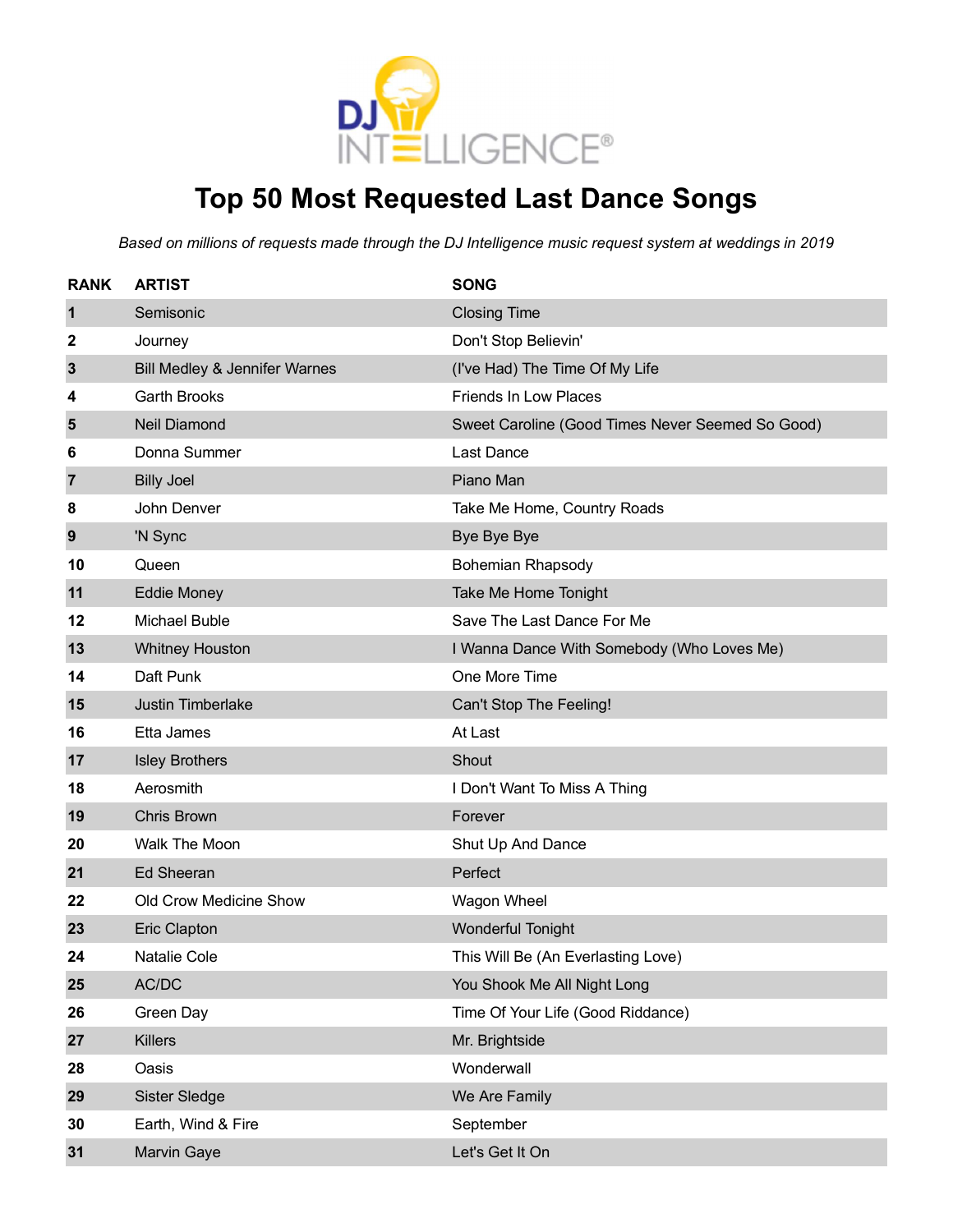

# **Top 50 Most Requested Last Dance Songs**

| <b>RANK</b>    | <b>ARTIST</b>                 | <b>SONG</b>                                      |
|----------------|-------------------------------|--------------------------------------------------|
| 1              | Semisonic                     | <b>Closing Time</b>                              |
| 2              | Journey                       | Don't Stop Believin'                             |
| 3              | Bill Medley & Jennifer Warnes | (I've Had) The Time Of My Life                   |
| 4              | <b>Garth Brooks</b>           | <b>Friends In Low Places</b>                     |
| 5              | <b>Neil Diamond</b>           | Sweet Caroline (Good Times Never Seemed So Good) |
| 6              | Donna Summer                  | Last Dance                                       |
| $\overline{7}$ | <b>Billy Joel</b>             | Piano Man                                        |
| 8              | John Denver                   | Take Me Home, Country Roads                      |
| 9              | 'N Sync                       | Bye Bye Bye                                      |
| 10             | Queen                         | <b>Bohemian Rhapsody</b>                         |
| 11             | <b>Eddie Money</b>            | Take Me Home Tonight                             |
| 12             | <b>Michael Buble</b>          | Save The Last Dance For Me                       |
| 13             | <b>Whitney Houston</b>        | I Wanna Dance With Somebody (Who Loves Me)       |
| 14             | Daft Punk                     | One More Time                                    |
| 15             | Justin Timberlake             | Can't Stop The Feeling!                          |
| 16             | Etta James                    | At Last                                          |
| 17             | <b>Isley Brothers</b>         | Shout                                            |
| 18             | Aerosmith                     | I Don't Want To Miss A Thing                     |
| 19             | <b>Chris Brown</b>            | Forever                                          |
| 20             | Walk The Moon                 | Shut Up And Dance                                |
| 21             | <b>Ed Sheeran</b>             | Perfect                                          |
| 22             | Old Crow Medicine Show        | Wagon Wheel                                      |
| 23             | <b>Eric Clapton</b>           | <b>Wonderful Tonight</b>                         |
| 24             | <b>Natalie Cole</b>           | This Will Be (An Everlasting Love)               |
| 25             | AC/DC                         | You Shook Me All Night Long                      |
| 26             | Green Day                     | Time Of Your Life (Good Riddance)                |
| 27             | <b>Killers</b>                | Mr. Brightside                                   |
| 28             | Oasis                         | Wonderwall                                       |
| 29             | Sister Sledge                 | We Are Family                                    |
| 30             | Earth, Wind & Fire            | September                                        |
| 31             | Marvin Gaye                   | Let's Get It On                                  |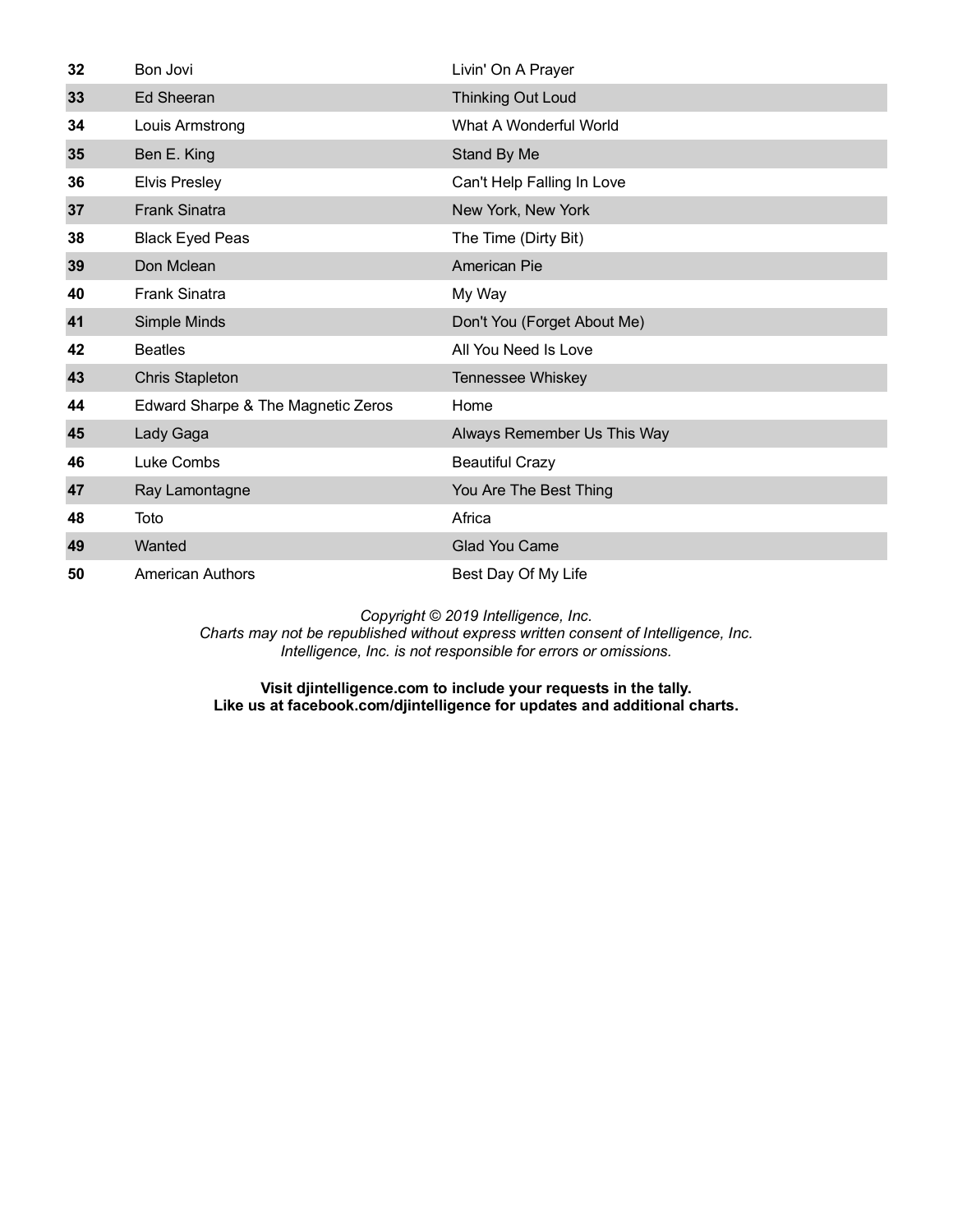| 32 | Bon Jovi                           | Livin' On A Prayer          |
|----|------------------------------------|-----------------------------|
| 33 | <b>Ed Sheeran</b>                  | <b>Thinking Out Loud</b>    |
| 34 | Louis Armstrong                    | What A Wonderful World      |
| 35 | Ben E. King                        | Stand By Me                 |
| 36 | <b>Elvis Presley</b>               | Can't Help Falling In Love  |
| 37 | <b>Frank Sinatra</b>               | New York, New York          |
| 38 | <b>Black Eyed Peas</b>             | The Time (Dirty Bit)        |
| 39 | Don Mclean                         | <b>American Pie</b>         |
| 40 | <b>Frank Sinatra</b>               | My Way                      |
| 41 | Simple Minds                       | Don't You (Forget About Me) |
| 42 | <b>Beatles</b>                     | All You Need Is Love        |
| 43 | <b>Chris Stapleton</b>             | Tennessee Whiskey           |
| 44 | Edward Sharpe & The Magnetic Zeros | Home                        |
| 45 | Lady Gaga                          | Always Remember Us This Way |
| 46 | Luke Combs                         | <b>Beautiful Crazy</b>      |
| 47 | Ray Lamontagne                     | You Are The Best Thing      |
| 48 | Toto                               | Africa                      |
| 49 | Wanted                             | <b>Glad You Came</b>        |
| 50 | <b>American Authors</b>            | Best Day Of My Life         |

*Charts may not be republished without express written consent of Intelligence, Inc. Intelligence, Inc. is not responsible for errors or omissions.*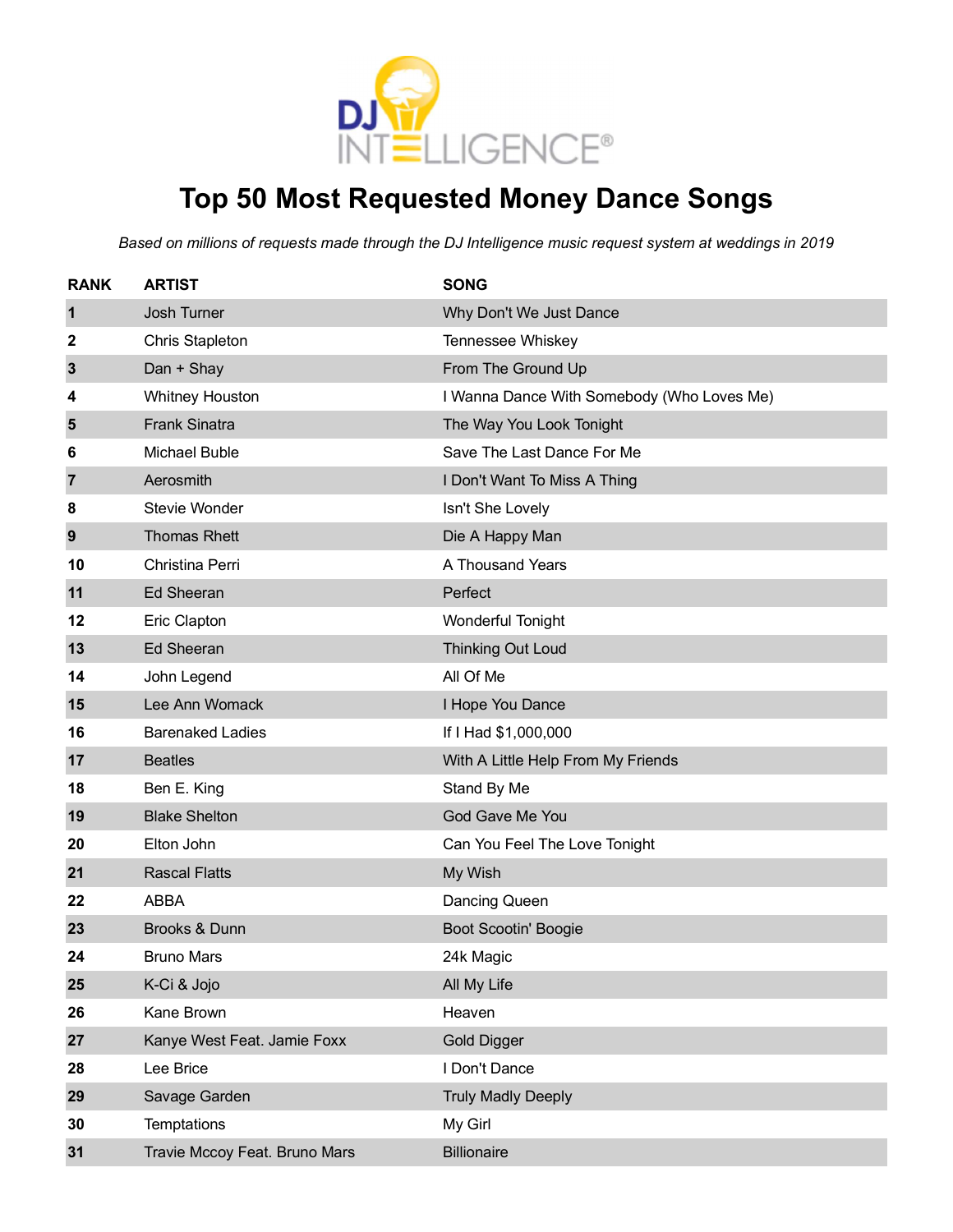

# **Top 50 Most Requested Money Dance Songs**

| <b>RANK</b> | <b>ARTIST</b>                 | <b>SONG</b>                                |
|-------------|-------------------------------|--------------------------------------------|
| 1           | Josh Turner                   | Why Don't We Just Dance                    |
| 2           | <b>Chris Stapleton</b>        | Tennessee Whiskey                          |
| 3           | Dan + Shay                    | From The Ground Up                         |
| 4           | <b>Whitney Houston</b>        | I Wanna Dance With Somebody (Who Loves Me) |
| 5           | <b>Frank Sinatra</b>          | The Way You Look Tonight                   |
| 6           | Michael Buble                 | Save The Last Dance For Me                 |
| 7           | Aerosmith                     | I Don't Want To Miss A Thing               |
| 8           | Stevie Wonder                 | Isn't She Lovely                           |
| 9           | <b>Thomas Rhett</b>           | Die A Happy Man                            |
| 10          | Christina Perri               | A Thousand Years                           |
| 11          | <b>Ed Sheeran</b>             | Perfect                                    |
| 12          | Eric Clapton                  | <b>Wonderful Tonight</b>                   |
| 13          | <b>Ed Sheeran</b>             | <b>Thinking Out Loud</b>                   |
| 14          | John Legend                   | All Of Me                                  |
| 15          | Lee Ann Womack                | I Hope You Dance                           |
| 16          | <b>Barenaked Ladies</b>       | If I Had \$1,000,000                       |
| 17          | <b>Beatles</b>                | With A Little Help From My Friends         |
| 18          | Ben E. King                   | Stand By Me                                |
| 19          | <b>Blake Shelton</b>          | God Gave Me You                            |
| 20          | Elton John                    | Can You Feel The Love Tonight              |
| 21          | <b>Rascal Flatts</b>          | My Wish                                    |
| 22          | <b>ABBA</b>                   | Dancing Queen                              |
| 23          | Brooks & Dunn                 | <b>Boot Scootin' Boogie</b>                |
| 24          | <b>Bruno Mars</b>             | 24k Magic                                  |
| 25          | K-Ci & Jojo                   | All My Life                                |
| 26          | Kane Brown                    | Heaven                                     |
| 27          | Kanye West Feat. Jamie Foxx   | <b>Gold Digger</b>                         |
| 28          | Lee Brice                     | I Don't Dance                              |
| 29          | Savage Garden                 | <b>Truly Madly Deeply</b>                  |
| 30          | Temptations                   | My Girl                                    |
| 31          | Travie Mccoy Feat. Bruno Mars | <b>Billionaire</b>                         |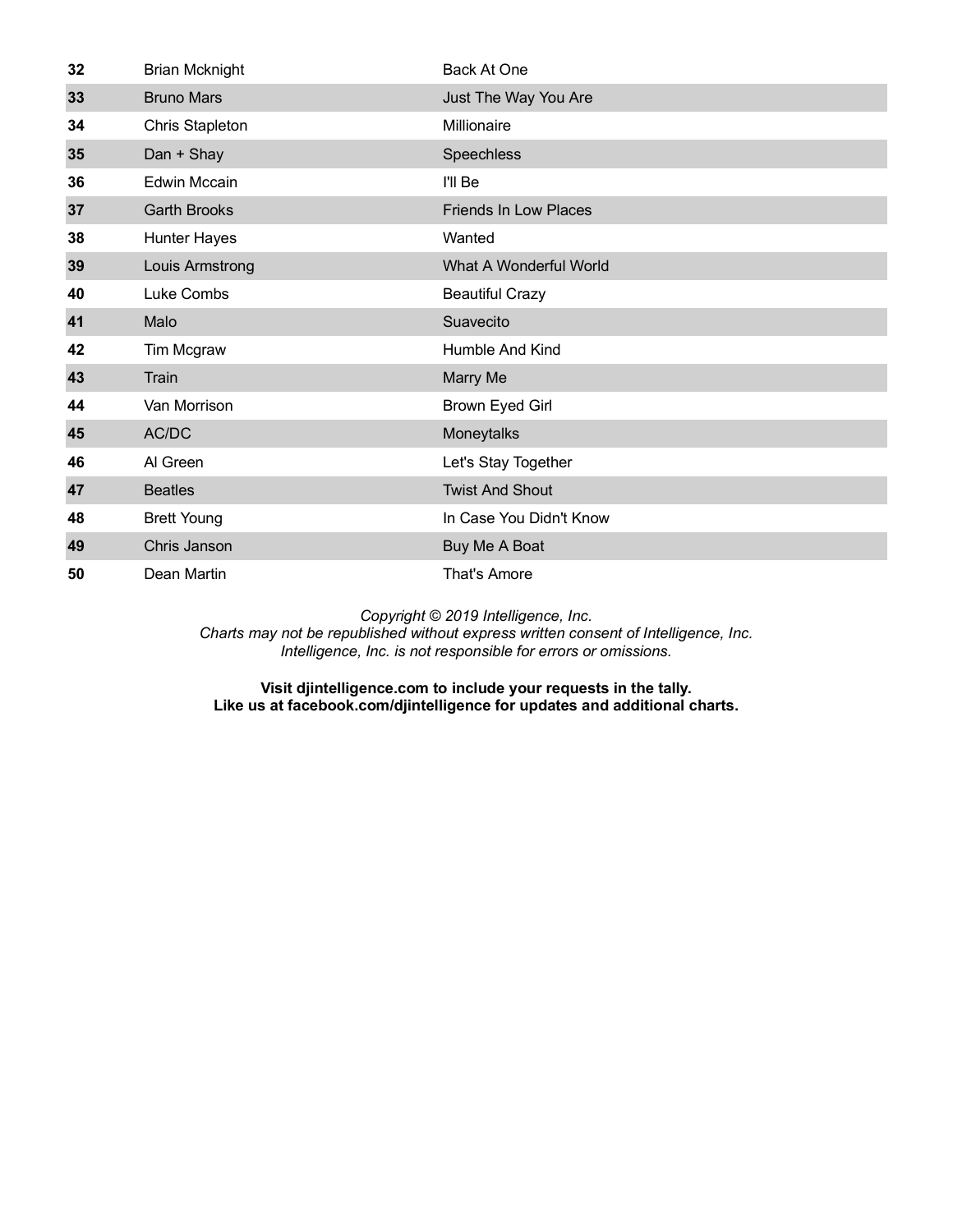| 32 | <b>Brian Mcknight</b> | Back At One                  |
|----|-----------------------|------------------------------|
| 33 | <b>Bruno Mars</b>     | Just The Way You Are         |
| 34 | Chris Stapleton       | Millionaire                  |
| 35 | Dan + Shay            | Speechless                   |
| 36 | <b>Edwin Mccain</b>   | I'll Be                      |
| 37 | <b>Garth Brooks</b>   | <b>Friends In Low Places</b> |
| 38 | <b>Hunter Hayes</b>   | Wanted                       |
| 39 | Louis Armstrong       | What A Wonderful World       |
| 40 | Luke Combs            | <b>Beautiful Crazy</b>       |
| 41 | Malo                  | Suavecito                    |
| 42 | Tim Mcgraw            | Humble And Kind              |
| 43 | Train                 | Marry Me                     |
| 44 | Van Morrison          | Brown Eyed Girl              |
| 45 | AC/DC                 | Moneytalks                   |
| 46 | Al Green              | Let's Stay Together          |
| 47 | <b>Beatles</b>        | <b>Twist And Shout</b>       |
| 48 | <b>Brett Young</b>    | In Case You Didn't Know      |
| 49 | Chris Janson          | Buy Me A Boat                |
| 50 | Dean Martin           | That's Amore                 |

*Charts may not be republished without express written consent of Intelligence, Inc. Intelligence, Inc. is not responsible for errors or omissions.*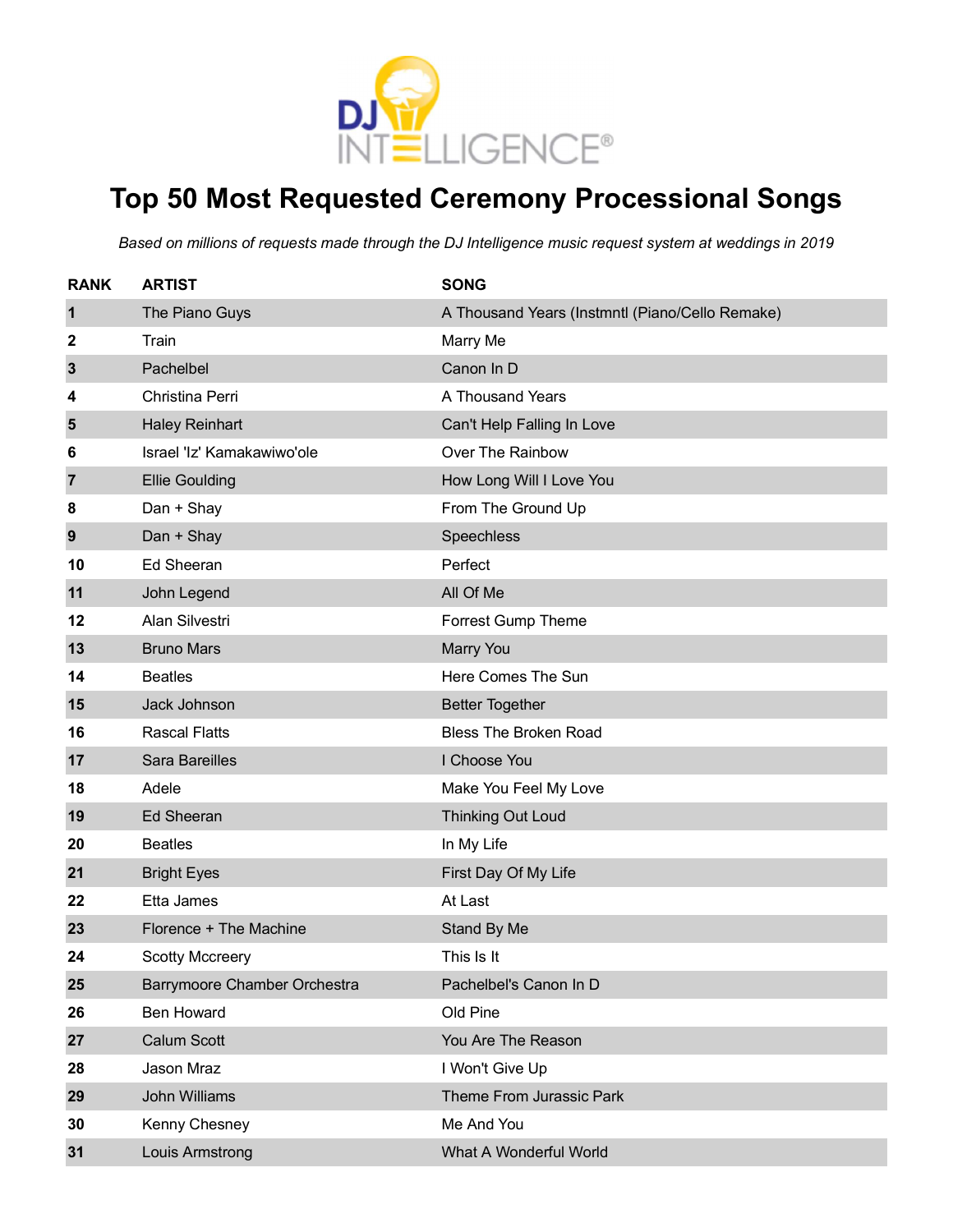

# **Top 50 Most Requested Ceremony Processional Songs**

| <b>RANK</b>    | <b>ARTIST</b>                | <b>SONG</b>                                     |
|----------------|------------------------------|-------------------------------------------------|
| $\mathbf 1$    | The Piano Guys               | A Thousand Years (Instmntl (Piano/Cello Remake) |
| 2              | Train                        | Marry Me                                        |
| 3              | Pachelbel                    | Canon In D                                      |
| 4              | Christina Perri              | A Thousand Years                                |
| 5              | <b>Haley Reinhart</b>        | Can't Help Falling In Love                      |
| 6              | Israel 'Iz' Kamakawiwo'ole   | Over The Rainbow                                |
| $\overline{7}$ | <b>Ellie Goulding</b>        | How Long Will I Love You                        |
| 8              | Dan + Shay                   | From The Ground Up                              |
| 9              | Dan + Shay                   | Speechless                                      |
| 10             | <b>Ed Sheeran</b>            | Perfect                                         |
| 11             | John Legend                  | All Of Me                                       |
| 12             | Alan Silvestri               | Forrest Gump Theme                              |
| 13             | <b>Bruno Mars</b>            | <b>Marry You</b>                                |
| 14             | <b>Beatles</b>               | Here Comes The Sun                              |
| 15             | Jack Johnson                 | <b>Better Together</b>                          |
| 16             | <b>Rascal Flatts</b>         | <b>Bless The Broken Road</b>                    |
| 17             | <b>Sara Bareilles</b>        | I Choose You                                    |
| 18             | Adele                        | Make You Feel My Love                           |
| 19             | <b>Ed Sheeran</b>            | <b>Thinking Out Loud</b>                        |
| 20             | <b>Beatles</b>               | In My Life                                      |
| 21             | <b>Bright Eyes</b>           | First Day Of My Life                            |
| 22             | Etta James                   | At Last                                         |
| 23             | Florence + The Machine       | Stand By Me                                     |
| 24             | <b>Scotty Mccreery</b>       | This Is It                                      |
| 25             | Barrymoore Chamber Orchestra | Pachelbel's Canon In D                          |
| 26             | <b>Ben Howard</b>            | Old Pine                                        |
| 27             | Calum Scott                  | You Are The Reason                              |
| 28             | Jason Mraz                   | I Won't Give Up                                 |
| 29             | John Williams                | Theme From Jurassic Park                        |
| 30             | Kenny Chesney                | Me And You                                      |
| 31             | Louis Armstrong              | What A Wonderful World                          |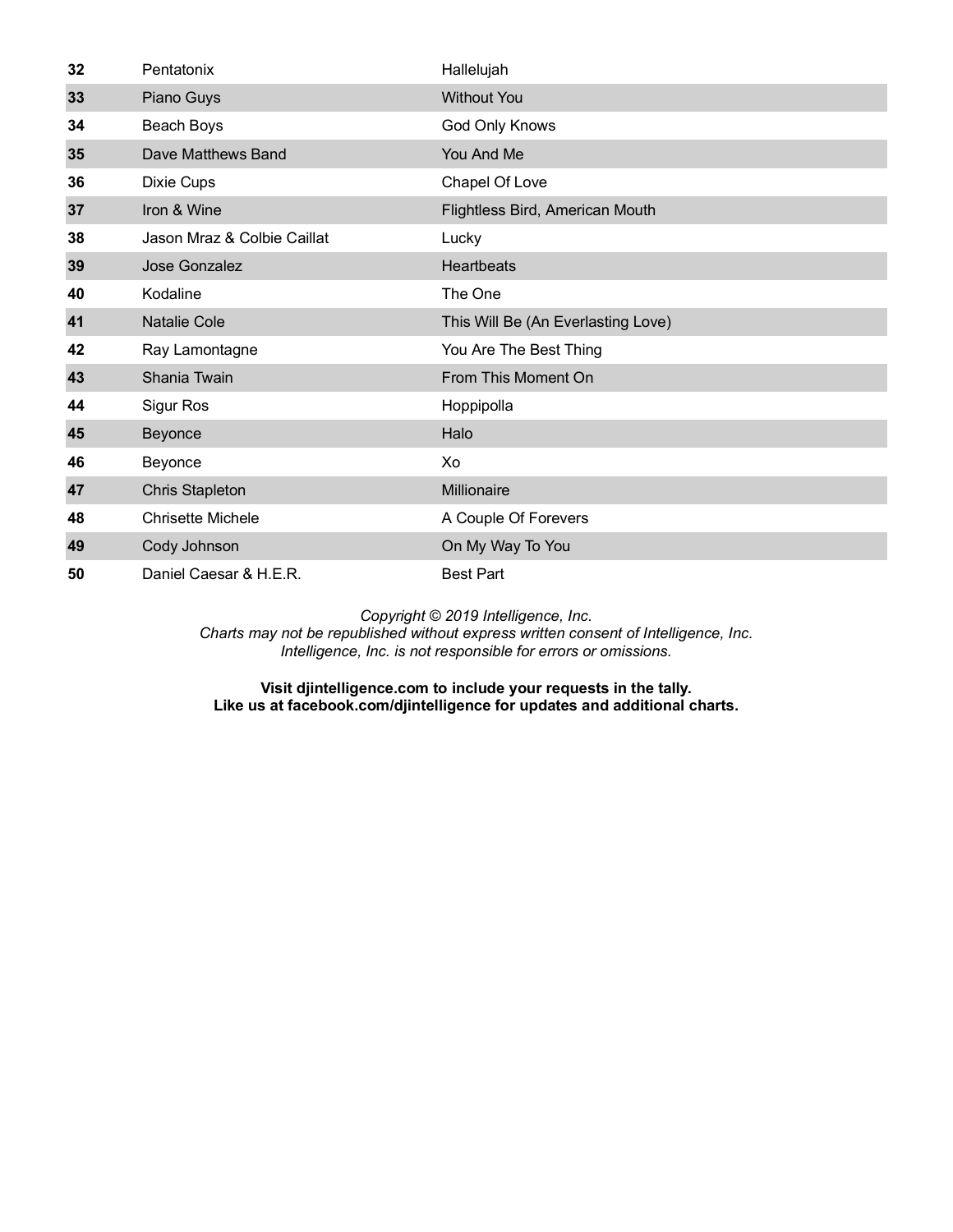| 32 | Pentatonix                  | Hallelujah                         |
|----|-----------------------------|------------------------------------|
| 33 | Piano Guys                  | <b>Without You</b>                 |
| 34 | Beach Boys                  | God Only Knows                     |
| 35 | Dave Matthews Band          | You And Me                         |
| 36 | Dixie Cups                  | Chapel Of Love                     |
| 37 | Iron & Wine                 | Flightless Bird, American Mouth    |
| 38 | Jason Mraz & Colbie Caillat | Lucky                              |
| 39 | Jose Gonzalez               | <b>Heartbeats</b>                  |
| 40 | Kodaline                    | The One                            |
| 41 | <b>Natalie Cole</b>         | This Will Be (An Everlasting Love) |
| 42 | Ray Lamontagne              | You Are The Best Thing             |
| 43 | Shania Twain                | From This Moment On                |
| 44 | Sigur Ros                   | Hoppipolla                         |
| 45 | Beyonce                     | Halo                               |
| 46 | Beyonce                     | Xo                                 |
| 47 | <b>Chris Stapleton</b>      | Millionaire                        |
| 48 | <b>Chrisette Michele</b>    | A Couple Of Forevers               |
| 49 | Cody Johnson                | On My Way To You                   |
| 50 | Daniel Caesar & H.E.R.      | <b>Best Part</b>                   |

*Charts may not be republished without express written consent of Intelligence, Inc. Intelligence, Inc. is not responsible for errors or omissions.*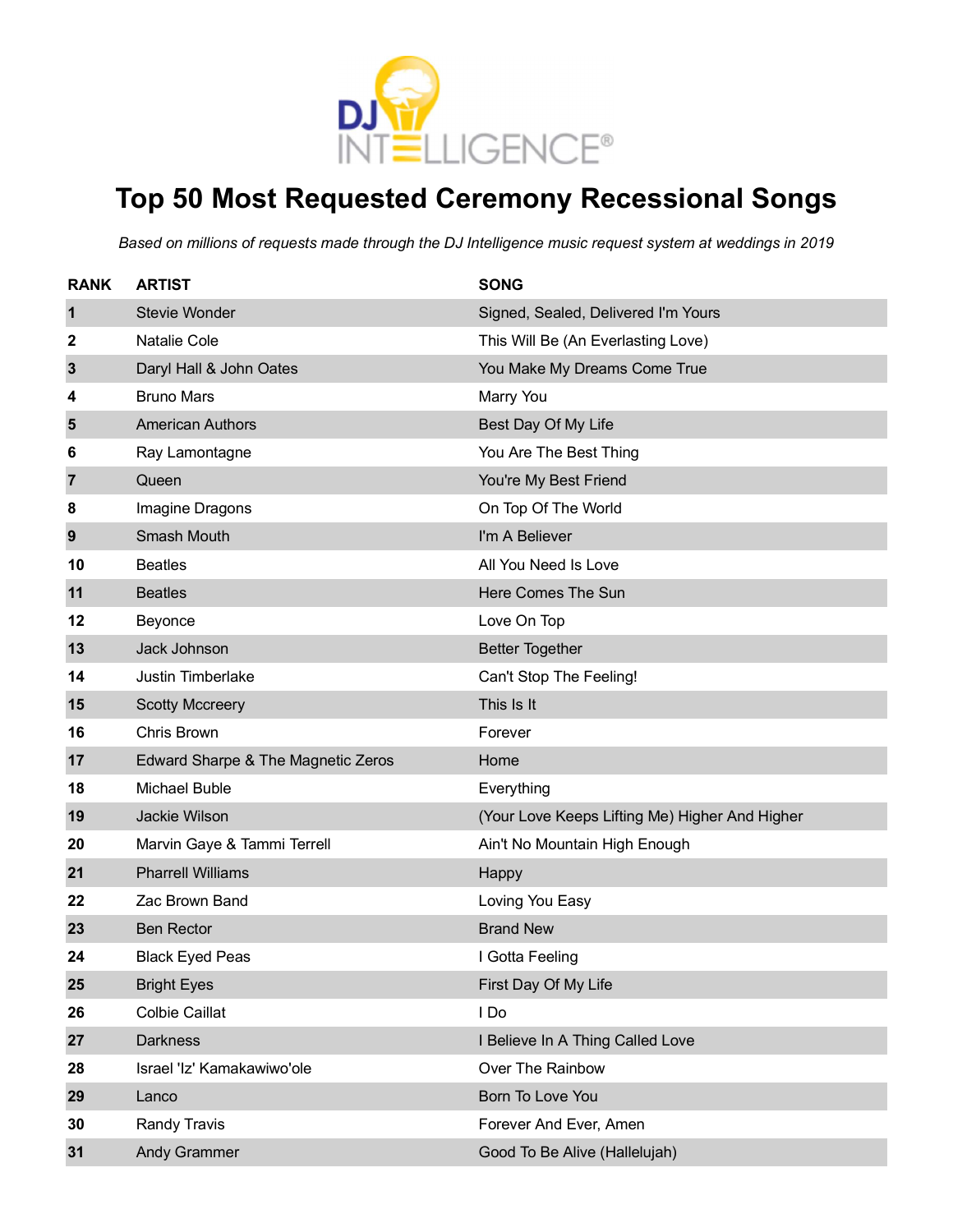

# **Top 50 Most Requested Ceremony Recessional Songs**

| <b>RANK</b>    | <b>ARTIST</b>                      | <b>SONG</b>                                    |
|----------------|------------------------------------|------------------------------------------------|
| $\mathbf{1}$   | Stevie Wonder                      | Signed, Sealed, Delivered I'm Yours            |
| 2              | Natalie Cole                       | This Will Be (An Everlasting Love)             |
| 3              | Daryl Hall & John Oates            | You Make My Dreams Come True                   |
| 4              | <b>Bruno Mars</b>                  | Marry You                                      |
| $5\phantom{1}$ | <b>American Authors</b>            | Best Day Of My Life                            |
| 6              | Ray Lamontagne                     | You Are The Best Thing                         |
| 7              | Queen                              | You're My Best Friend                          |
| 8              | Imagine Dragons                    | On Top Of The World                            |
| 9              | <b>Smash Mouth</b>                 | I'm A Believer                                 |
| 10             | <b>Beatles</b>                     | All You Need Is Love                           |
| 11             | <b>Beatles</b>                     | Here Comes The Sun                             |
| 12             | Beyonce                            | Love On Top                                    |
| 13             | Jack Johnson                       | <b>Better Together</b>                         |
| 14             | Justin Timberlake                  | Can't Stop The Feeling!                        |
| 15             | <b>Scotty Mccreery</b>             | This Is It                                     |
| 16             | Chris Brown                        | Forever                                        |
| 17             | Edward Sharpe & The Magnetic Zeros | Home                                           |
| 18             | Michael Buble                      | Everything                                     |
| 19             | Jackie Wilson                      | (Your Love Keeps Lifting Me) Higher And Higher |
| 20             | Marvin Gaye & Tammi Terrell        | Ain't No Mountain High Enough                  |
| 21             | <b>Pharrell Williams</b>           | Happy                                          |
| 22             | Zac Brown Band                     | Loving You Easy                                |
| 23             | <b>Ben Rector</b>                  | <b>Brand New</b>                               |
| 24             | <b>Black Eyed Peas</b>             | I Gotta Feeling                                |
| 25             | <b>Bright Eyes</b>                 | First Day Of My Life                           |
| 26             | <b>Colbie Caillat</b>              | I Do                                           |
| 27             | <b>Darkness</b>                    | I Believe In A Thing Called Love               |
| 28             | Israel 'Iz' Kamakawiwo'ole         | Over The Rainbow                               |
| 29             | Lanco                              | Born To Love You                               |
| 30             | Randy Travis                       | Forever And Ever, Amen                         |
| 31             | <b>Andy Grammer</b>                | Good To Be Alive (Hallelujah)                  |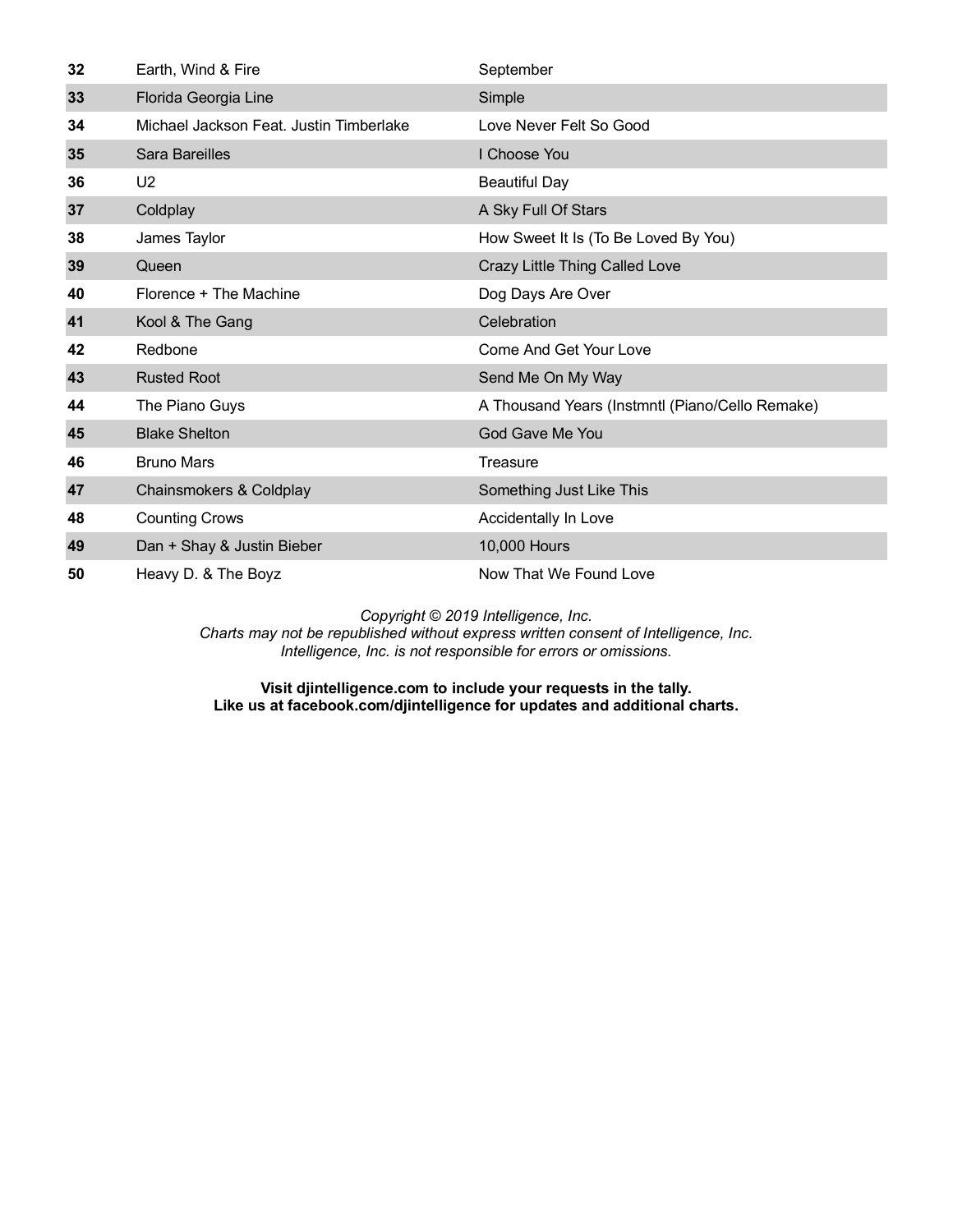| 32 | Earth, Wind & Fire                      | September                                       |
|----|-----------------------------------------|-------------------------------------------------|
| 33 | Florida Georgia Line                    | Simple                                          |
| 34 | Michael Jackson Feat. Justin Timberlake | Love Never Felt So Good                         |
| 35 | Sara Bareilles                          | I Choose You                                    |
| 36 | U <sub>2</sub>                          | <b>Beautiful Day</b>                            |
| 37 | Coldplay                                | A Sky Full Of Stars                             |
| 38 | James Taylor                            | How Sweet It Is (To Be Loved By You)            |
| 39 | Queen                                   | Crazy Little Thing Called Love                  |
| 40 | Florence + The Machine                  | Dog Days Are Over                               |
| 41 | Kool & The Gang                         | Celebration                                     |
| 42 | Redbone                                 | <b>Come And Get Your Love</b>                   |
| 43 | <b>Rusted Root</b>                      | Send Me On My Way                               |
| 44 | The Piano Guys                          | A Thousand Years (Instmntl (Piano/Cello Remake) |
| 45 | <b>Blake Shelton</b>                    | God Gave Me You                                 |
| 46 | <b>Bruno Mars</b>                       | Treasure                                        |
| 47 | Chainsmokers & Coldplay                 | Something Just Like This                        |
| 48 | <b>Counting Crows</b>                   | Accidentally In Love                            |
| 49 | Dan + Shay & Justin Bieber              | 10,000 Hours                                    |
| 50 | Heavy D. & The Boyz                     | Now That We Found Love                          |

*Charts may not be republished without express written consent of Intelligence, Inc. Intelligence, Inc. is not responsible for errors or omissions.*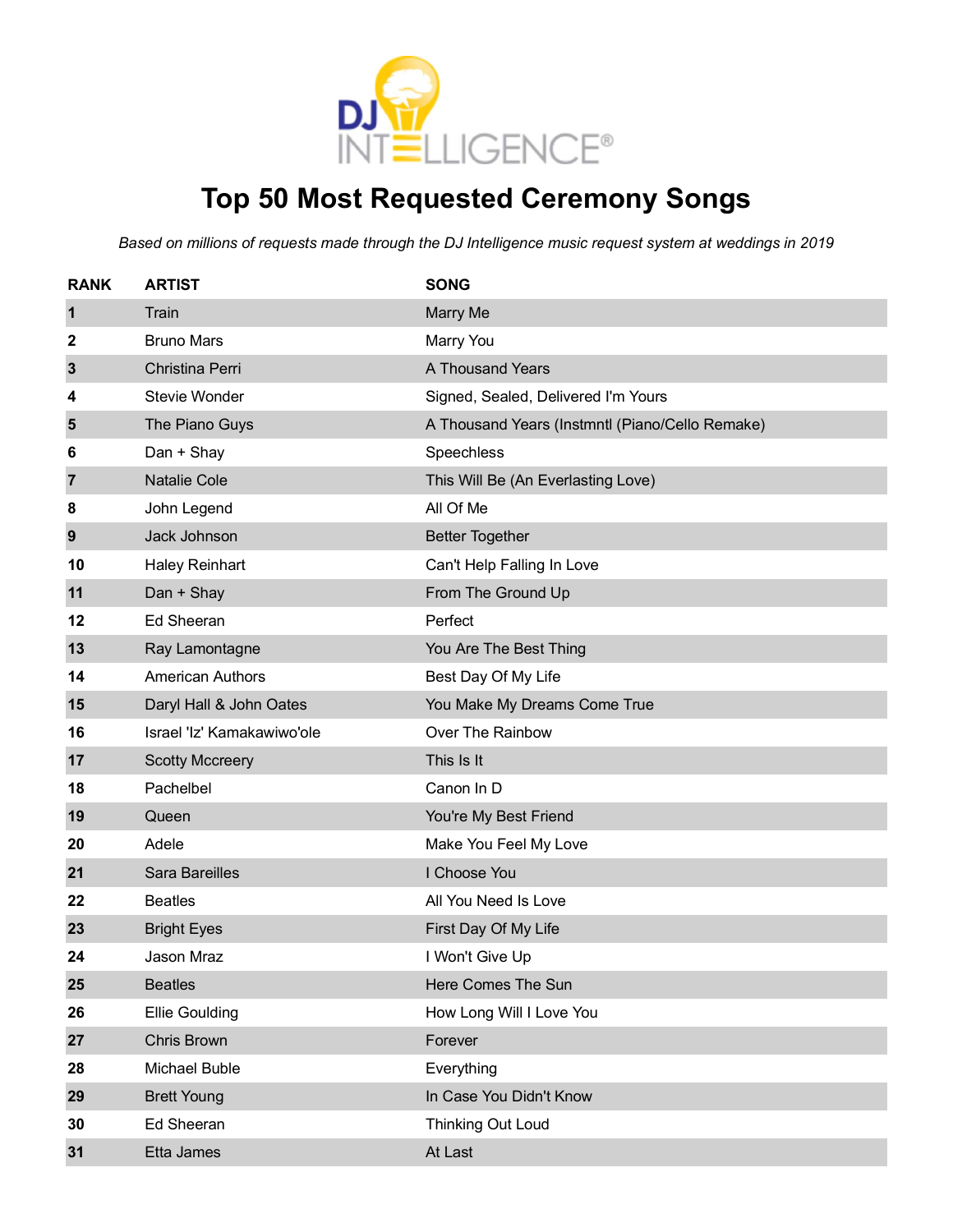

## **Top 50 Most Requested Ceremony Songs**

| <b>RANK</b>    | <b>ARTIST</b>              | <b>SONG</b>                                     |
|----------------|----------------------------|-------------------------------------------------|
| 1              | Train                      | Marry Me                                        |
| 2              | <b>Bruno Mars</b>          | Marry You                                       |
| 3              | Christina Perri            | A Thousand Years                                |
| 4              | <b>Stevie Wonder</b>       | Signed, Sealed, Delivered I'm Yours             |
| 5              | The Piano Guys             | A Thousand Years (Instmntl (Piano/Cello Remake) |
| 6              | Dan + Shay                 | Speechless                                      |
| $\overline{7}$ | <b>Natalie Cole</b>        | This Will Be (An Everlasting Love)              |
| 8              | John Legend                | All Of Me                                       |
| 9              | Jack Johnson               | <b>Better Together</b>                          |
| 10             | <b>Haley Reinhart</b>      | Can't Help Falling In Love                      |
| 11             | Dan + Shay                 | From The Ground Up                              |
| 12             | Ed Sheeran                 | Perfect                                         |
| 13             | Ray Lamontagne             | You Are The Best Thing                          |
| 14             | <b>American Authors</b>    | Best Day Of My Life                             |
| 15             | Daryl Hall & John Oates    | You Make My Dreams Come True                    |
| 16             | Israel 'Iz' Kamakawiwo'ole | Over The Rainbow                                |
| 17             | <b>Scotty Mccreery</b>     | This Is It                                      |
| 18             | Pachelbel                  | Canon In D                                      |
| 19             | Queen                      | You're My Best Friend                           |
| 20             | Adele                      | Make You Feel My Love                           |
| 21             | Sara Bareilles             | I Choose You                                    |
| 22             | <b>Beatles</b>             | All You Need Is Love                            |
| 23             | <b>Bright Eyes</b>         | First Day Of My Life                            |
| 24             | Jason Mraz                 | I Won't Give Up                                 |
| 25             | <b>Beatles</b>             | Here Comes The Sun                              |
| 26             | <b>Ellie Goulding</b>      | How Long Will I Love You                        |
| 27             | Chris Brown                | Forever                                         |
| 28             | Michael Buble              | Everything                                      |
| 29             | <b>Brett Young</b>         | In Case You Didn't Know                         |
| 30             | Ed Sheeran                 | Thinking Out Loud                               |
| 31             | Etta James                 | At Last                                         |